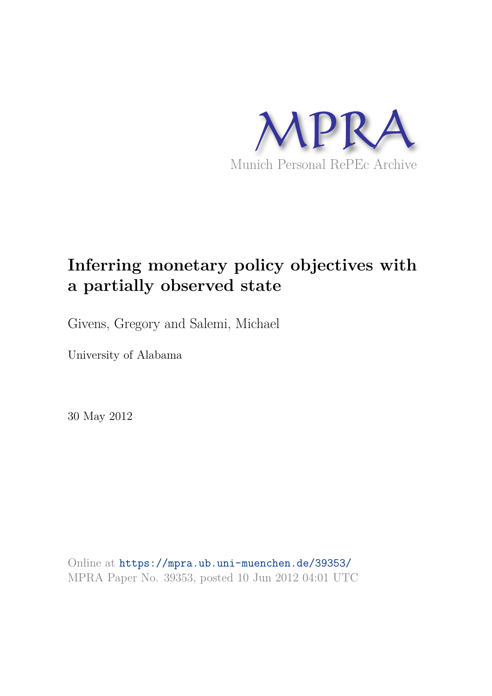

# **Inferring monetary policy objectives with a partially observed state**

Givens, Gregory and Salemi, Michael

University of Alabama

30 May 2012

Online at https://mpra.ub.uni-muenchen.de/39353/ MPRA Paper No. 39353, posted 10 Jun 2012 04:01 UTC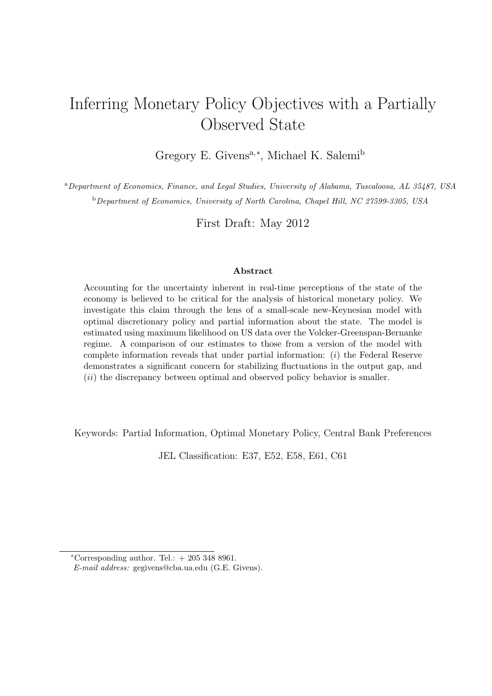## Inferring Monetary Policy Objectives with a Partially Observed State

Gregory E. Givens<sup>a,\*</sup>, Michael K. Salemi<sup>b</sup>

<sup>a</sup>Department of Economics, Finance, and Legal Studies, University of Alabama, Tuscaloosa, AL 35487, USA <sup>b</sup>Department of Economics, University of North Carolina, Chapel Hill, NC 27599-3305, USA

First Draft: May 2012

#### Abstract

Accounting for the uncertainty inherent in real-time perceptions of the state of the economy is believed to be critical for the analysis of historical monetary policy. We investigate this claim through the lens of a small-scale new-Keynesian model with optimal discretionary policy and partial information about the state. The model is estimated using maximum likelihood on US data over the Volcker-Greenspan-Bernanke regime. A comparison of our estimates to those from a version of the model with complete information reveals that under partial information: (i) the Federal Reserve demonstrates a significant concern for stabilizing fluctuations in the output gap, and (ii) the discrepancy between optimal and observed policy behavior is smaller.

Keywords: Partial Information, Optimal Monetary Policy, Central Bank Preferences

JEL Classification: E37, E52, E58, E61, C61

 $*Corresponding author. Tel.: + 205 348 8961.$ 

E-mail address: gegivens@cba.ua.edu (G.E. Givens).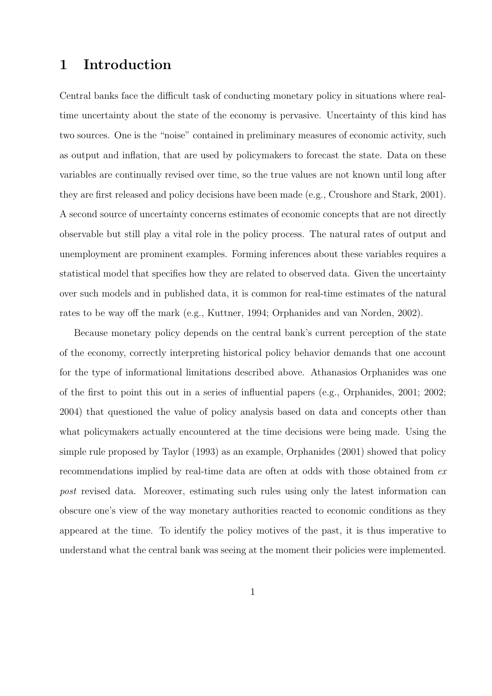### 1 Introduction

Central banks face the difficult task of conducting monetary policy in situations where realtime uncertainty about the state of the economy is pervasive. Uncertainty of this kind has two sources. One is the "noise" contained in preliminary measures of economic activity, such as output and inflation, that are used by policymakers to forecast the state. Data on these variables are continually revised over time, so the true values are not known until long after they are first released and policy decisions have been made (e.g., Croushore and Stark, 2001). A second source of uncertainty concerns estimates of economic concepts that are not directly observable but still play a vital role in the policy process. The natural rates of output and unemployment are prominent examples. Forming inferences about these variables requires a statistical model that specifies how they are related to observed data. Given the uncertainty over such models and in published data, it is common for real-time estimates of the natural rates to be way off the mark (e.g., Kuttner, 1994; Orphanides and van Norden, 2002).

Because monetary policy depends on the central bank's current perception of the state of the economy, correctly interpreting historical policy behavior demands that one account for the type of informational limitations described above. Athanasios Orphanides was one of the first to point this out in a series of influential papers (e.g., Orphanides, 2001; 2002; 2004) that questioned the value of policy analysis based on data and concepts other than what policymakers actually encountered at the time decisions were being made. Using the simple rule proposed by Taylor (1993) as an example, Orphanides (2001) showed that policy recommendations implied by real-time data are often at odds with those obtained from  $ex$ post revised data. Moreover, estimating such rules using only the latest information can obscure one's view of the way monetary authorities reacted to economic conditions as they appeared at the time. To identify the policy motives of the past, it is thus imperative to understand what the central bank was seeing at the moment their policies were implemented.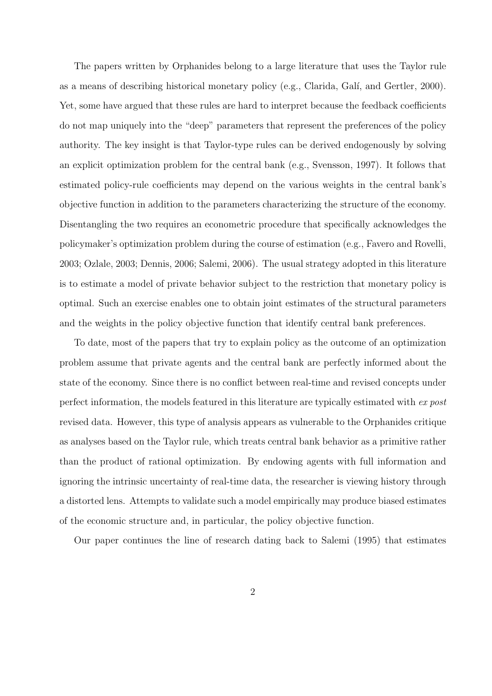The papers written by Orphanides belong to a large literature that uses the Taylor rule as a means of describing historical monetary policy (e.g., Clarida, Galí, and Gertler, 2000). Yet, some have argued that these rules are hard to interpret because the feedback coefficients do not map uniquely into the "deep" parameters that represent the preferences of the policy authority. The key insight is that Taylor-type rules can be derived endogenously by solving an explicit optimization problem for the central bank (e.g., Svensson, 1997). It follows that estimated policy-rule coefficients may depend on the various weights in the central bank's objective function in addition to the parameters characterizing the structure of the economy. Disentangling the two requires an econometric procedure that specifically acknowledges the policymaker's optimization problem during the course of estimation (e.g., Favero and Rovelli, 2003; Ozlale, 2003; Dennis, 2006; Salemi, 2006). The usual strategy adopted in this literature is to estimate a model of private behavior subject to the restriction that monetary policy is optimal. Such an exercise enables one to obtain joint estimates of the structural parameters and the weights in the policy objective function that identify central bank preferences.

To date, most of the papers that try to explain policy as the outcome of an optimization problem assume that private agents and the central bank are perfectly informed about the state of the economy. Since there is no conflict between real-time and revised concepts under perfect information, the models featured in this literature are typically estimated with ex post revised data. However, this type of analysis appears as vulnerable to the Orphanides critique as analyses based on the Taylor rule, which treats central bank behavior as a primitive rather than the product of rational optimization. By endowing agents with full information and ignoring the intrinsic uncertainty of real-time data, the researcher is viewing history through a distorted lens. Attempts to validate such a model empirically may produce biased estimates of the economic structure and, in particular, the policy objective function.

Our paper continues the line of research dating back to Salemi (1995) that estimates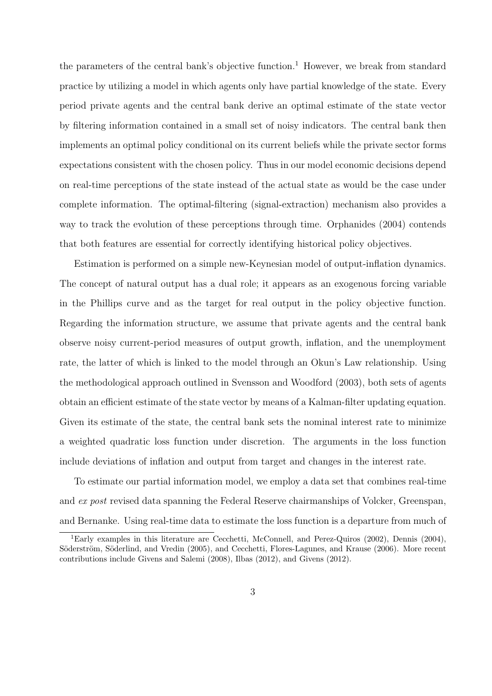the parameters of the central bank's objective function.<sup>1</sup> However, we break from standard practice by utilizing a model in which agents only have partial knowledge of the state. Every period private agents and the central bank derive an optimal estimate of the state vector by filtering information contained in a small set of noisy indicators. The central bank then implements an optimal policy conditional on its current beliefs while the private sector forms expectations consistent with the chosen policy. Thus in our model economic decisions depend on real-time perceptions of the state instead of the actual state as would be the case under complete information. The optimal-filtering (signal-extraction) mechanism also provides a way to track the evolution of these perceptions through time. Orphanides (2004) contends that both features are essential for correctly identifying historical policy objectives.

Estimation is performed on a simple new-Keynesian model of output-inflation dynamics. The concept of natural output has a dual role; it appears as an exogenous forcing variable in the Phillips curve and as the target for real output in the policy objective function. Regarding the information structure, we assume that private agents and the central bank observe noisy current-period measures of output growth, inflation, and the unemployment rate, the latter of which is linked to the model through an Okun's Law relationship. Using the methodological approach outlined in Svensson and Woodford (2003), both sets of agents obtain an efficient estimate of the state vector by means of a Kalman-filter updating equation. Given its estimate of the state, the central bank sets the nominal interest rate to minimize a weighted quadratic loss function under discretion. The arguments in the loss function include deviations of inflation and output from target and changes in the interest rate.

To estimate our partial information model, we employ a data set that combines real-time and ex post revised data spanning the Federal Reserve chairmanships of Volcker, Greenspan, and Bernanke. Using real-time data to estimate the loss function is a departure from much of

<sup>&</sup>lt;sup>1</sup>Early examples in this literature are Cecchetti, McConnell, and Perez-Quiros (2002), Dennis (2004), Söderström, Söderlind, and Vredin (2005), and Cecchetti, Flores-Lagunes, and Krause (2006). More recent contributions include Givens and Salemi (2008), Ilbas (2012), and Givens (2012).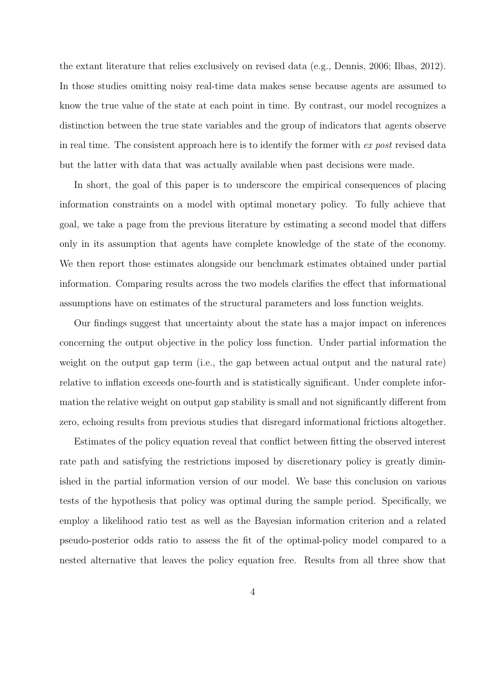the extant literature that relies exclusively on revised data (e.g., Dennis, 2006; Ilbas, 2012). In those studies omitting noisy real-time data makes sense because agents are assumed to know the true value of the state at each point in time. By contrast, our model recognizes a distinction between the true state variables and the group of indicators that agents observe in real time. The consistent approach here is to identify the former with ex post revised data but the latter with data that was actually available when past decisions were made.

In short, the goal of this paper is to underscore the empirical consequences of placing information constraints on a model with optimal monetary policy. To fully achieve that goal, we take a page from the previous literature by estimating a second model that differs only in its assumption that agents have complete knowledge of the state of the economy. We then report those estimates alongside our benchmark estimates obtained under partial information. Comparing results across the two models clarifies the effect that informational assumptions have on estimates of the structural parameters and loss function weights.

Our findings suggest that uncertainty about the state has a major impact on inferences concerning the output objective in the policy loss function. Under partial information the weight on the output gap term (i.e., the gap between actual output and the natural rate) relative to inflation exceeds one-fourth and is statistically significant. Under complete information the relative weight on output gap stability is small and not significantly different from zero, echoing results from previous studies that disregard informational frictions altogether.

Estimates of the policy equation reveal that conflict between fitting the observed interest rate path and satisfying the restrictions imposed by discretionary policy is greatly diminished in the partial information version of our model. We base this conclusion on various tests of the hypothesis that policy was optimal during the sample period. Specifically, we employ a likelihood ratio test as well as the Bayesian information criterion and a related pseudo-posterior odds ratio to assess the fit of the optimal-policy model compared to a nested alternative that leaves the policy equation free. Results from all three show that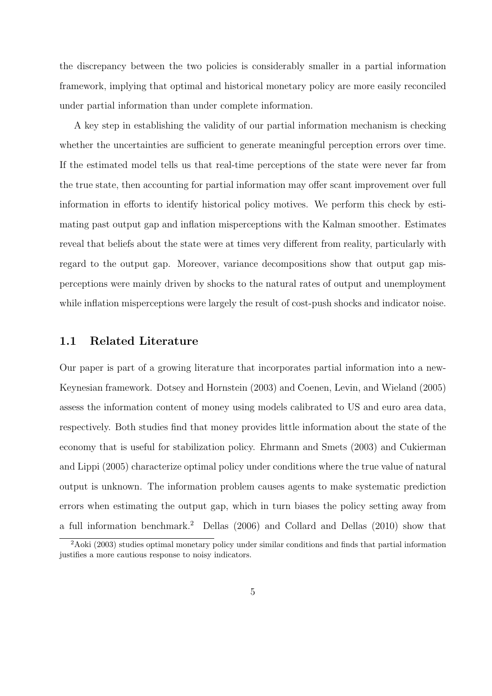the discrepancy between the two policies is considerably smaller in a partial information framework, implying that optimal and historical monetary policy are more easily reconciled under partial information than under complete information.

A key step in establishing the validity of our partial information mechanism is checking whether the uncertainties are sufficient to generate meaningful perception errors over time. If the estimated model tells us that real-time perceptions of the state were never far from the true state, then accounting for partial information may offer scant improvement over full information in efforts to identify historical policy motives. We perform this check by estimating past output gap and inflation misperceptions with the Kalman smoother. Estimates reveal that beliefs about the state were at times very different from reality, particularly with regard to the output gap. Moreover, variance decompositions show that output gap misperceptions were mainly driven by shocks to the natural rates of output and unemployment while inflation misperceptions were largely the result of cost-push shocks and indicator noise.

#### 1.1 Related Literature

Our paper is part of a growing literature that incorporates partial information into a new-Keynesian framework. Dotsey and Hornstein (2003) and Coenen, Levin, and Wieland (2005) assess the information content of money using models calibrated to US and euro area data, respectively. Both studies find that money provides little information about the state of the economy that is useful for stabilization policy. Ehrmann and Smets (2003) and Cukierman and Lippi (2005) characterize optimal policy under conditions where the true value of natural output is unknown. The information problem causes agents to make systematic prediction errors when estimating the output gap, which in turn biases the policy setting away from a full information benchmark.<sup>2</sup> Dellas (2006) and Collard and Dellas (2010) show that

<sup>&</sup>lt;sup>2</sup>Aoki (2003) studies optimal monetary policy under similar conditions and finds that partial information justifies a more cautious response to noisy indicators.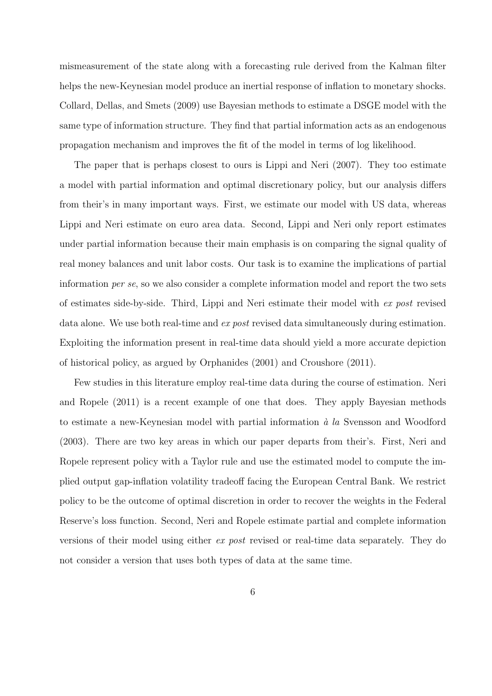mismeasurement of the state along with a forecasting rule derived from the Kalman filter helps the new-Keynesian model produce an inertial response of inflation to monetary shocks. Collard, Dellas, and Smets (2009) use Bayesian methods to estimate a DSGE model with the same type of information structure. They find that partial information acts as an endogenous propagation mechanism and improves the fit of the model in terms of log likelihood.

The paper that is perhaps closest to ours is Lippi and Neri (2007). They too estimate a model with partial information and optimal discretionary policy, but our analysis differs from their's in many important ways. First, we estimate our model with US data, whereas Lippi and Neri estimate on euro area data. Second, Lippi and Neri only report estimates under partial information because their main emphasis is on comparing the signal quality of real money balances and unit labor costs. Our task is to examine the implications of partial information per se, so we also consider a complete information model and report the two sets of estimates side-by-side. Third, Lippi and Neri estimate their model with ex post revised data alone. We use both real-time and ex post revised data simultaneously during estimation. Exploiting the information present in real-time data should yield a more accurate depiction of historical policy, as argued by Orphanides (2001) and Croushore (2011).

Few studies in this literature employ real-time data during the course of estimation. Neri and Ropele (2011) is a recent example of one that does. They apply Bayesian methods to estimate a new-Keynesian model with partial information  $\dot{a}$  la Svensson and Woodford (2003). There are two key areas in which our paper departs from their's. First, Neri and Ropele represent policy with a Taylor rule and use the estimated model to compute the implied output gap-inflation volatility tradeoff facing the European Central Bank. We restrict policy to be the outcome of optimal discretion in order to recover the weights in the Federal Reserve's loss function. Second, Neri and Ropele estimate partial and complete information versions of their model using either ex post revised or real-time data separately. They do not consider a version that uses both types of data at the same time.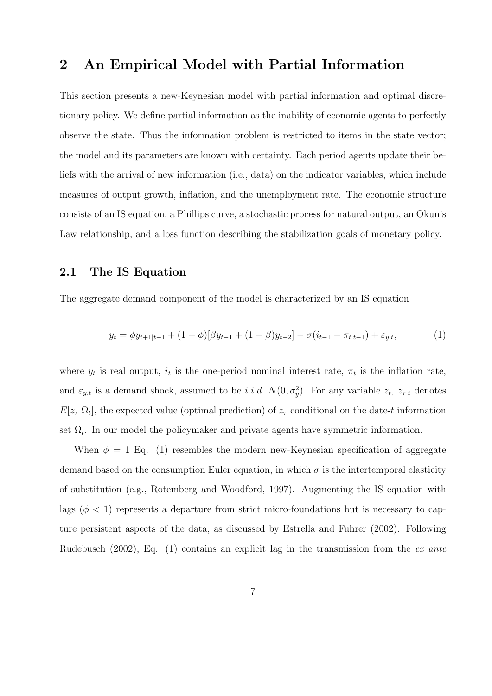### 2 An Empirical Model with Partial Information

This section presents a new-Keynesian model with partial information and optimal discretionary policy. We define partial information as the inability of economic agents to perfectly observe the state. Thus the information problem is restricted to items in the state vector; the model and its parameters are known with certainty. Each period agents update their beliefs with the arrival of new information (i.e., data) on the indicator variables, which include measures of output growth, inflation, and the unemployment rate. The economic structure consists of an IS equation, a Phillips curve, a stochastic process for natural output, an Okun's Law relationship, and a loss function describing the stabilization goals of monetary policy.

#### 2.1 The IS Equation

The aggregate demand component of the model is characterized by an IS equation

$$
y_t = \phi y_{t+1|t-1} + (1 - \phi)[\beta y_{t-1} + (1 - \beta)y_{t-2}] - \sigma(i_{t-1} - \pi_{t|t-1}) + \varepsilon_{y,t},
$$
(1)

where  $y_t$  is real output,  $i_t$  is the one-period nominal interest rate,  $\pi_t$  is the inflation rate, and  $\varepsilon_{y,t}$  is a demand shock, assumed to be *i.i.d.*  $N(0, \sigma_y^2)$ . For any variable  $z_t$ ,  $z_{\tau|t}$  denotes  $E[z_{\tau}|\Omega_t]$ , the expected value (optimal prediction) of  $z_{\tau}$  conditional on the date-t information set  $\Omega_t$ . In our model the policymaker and private agents have symmetric information.

When  $\phi = 1$  Eq. (1) resembles the modern new-Keynesian specification of aggregate demand based on the consumption Euler equation, in which  $\sigma$  is the intertemporal elasticity of substitution (e.g., Rotemberg and Woodford, 1997). Augmenting the IS equation with lags ( $\phi$  < 1) represents a departure from strict micro-foundations but is necessary to capture persistent aspects of the data, as discussed by Estrella and Fuhrer (2002). Following Rudebusch (2002), Eq. (1) contains an explicit lag in the transmission from the ex ante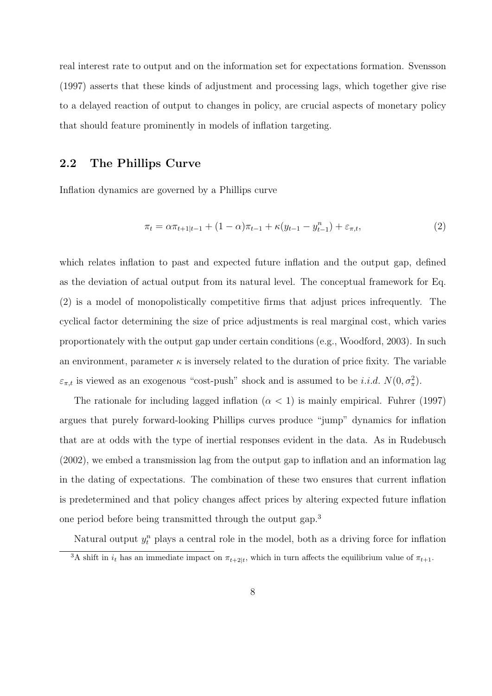real interest rate to output and on the information set for expectations formation. Svensson (1997) asserts that these kinds of adjustment and processing lags, which together give rise to a delayed reaction of output to changes in policy, are crucial aspects of monetary policy that should feature prominently in models of inflation targeting.

### 2.2 The Phillips Curve

Inflation dynamics are governed by a Phillips curve

$$
\pi_t = \alpha \pi_{t+1|t-1} + (1 - \alpha) \pi_{t-1} + \kappa (y_{t-1} - y_{t-1}^n) + \varepsilon_{\pi, t},
$$
\n(2)

which relates inflation to past and expected future inflation and the output gap, defined as the deviation of actual output from its natural level. The conceptual framework for Eq. (2) is a model of monopolistically competitive firms that adjust prices infrequently. The cyclical factor determining the size of price adjustments is real marginal cost, which varies proportionately with the output gap under certain conditions (e.g., Woodford, 2003). In such an environment, parameter  $\kappa$  is inversely related to the duration of price fixity. The variable  $\varepsilon_{\pi,t}$  is viewed as an exogenous "cost-push" shock and is assumed to be *i.i.d.*  $N(0, \sigma_{\pi}^2)$ .

The rationale for including lagged inflation  $(\alpha < 1)$  is mainly empirical. Fuhrer (1997) argues that purely forward-looking Phillips curves produce "jump" dynamics for inflation that are at odds with the type of inertial responses evident in the data. As in Rudebusch (2002), we embed a transmission lag from the output gap to inflation and an information lag in the dating of expectations. The combination of these two ensures that current inflation is predetermined and that policy changes affect prices by altering expected future inflation one period before being transmitted through the output gap.<sup>3</sup>

Natural output  $y_t^n$  plays a central role in the model, both as a driving force for inflation <sup>3</sup>A shift in  $i_t$  has an immediate impact on  $\pi_{t+2|t}$ , which in turn affects the equilibrium value of  $\pi_{t+1}$ .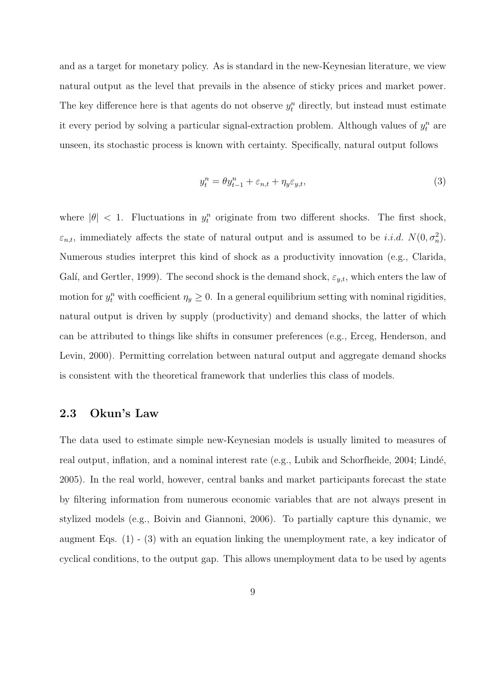and as a target for monetary policy. As is standard in the new-Keynesian literature, we view natural output as the level that prevails in the absence of sticky prices and market power. The key difference here is that agents do not observe  $y_t^n$  directly, but instead must estimate it every period by solving a particular signal-extraction problem. Although values of  $y_t^n$  are unseen, its stochastic process is known with certainty. Specifically, natural output follows

$$
y_t^n = \theta y_{t-1}^n + \varepsilon_{n,t} + \eta_y \varepsilon_{y,t},\tag{3}
$$

where  $|\theta|$  < 1. Fluctuations in  $y_t^n$  originate from two different shocks. The first shock,  $\varepsilon_{n,t}$ , immediately affects the state of natural output and is assumed to be *i.i.d.*  $N(0, \sigma_n^2)$ . Numerous studies interpret this kind of shock as a productivity innovation (e.g., Clarida, Galí, and Gertler, 1999). The second shock is the demand shock,  $\varepsilon_{y,t}$ , which enters the law of motion for  $y_t^n$  with coefficient  $\eta_y \geq 0$ . In a general equilibrium setting with nominal rigidities, natural output is driven by supply (productivity) and demand shocks, the latter of which can be attributed to things like shifts in consumer preferences (e.g., Erceg, Henderson, and Levin, 2000). Permitting correlation between natural output and aggregate demand shocks is consistent with the theoretical framework that underlies this class of models.

#### 2.3 Okun's Law

The data used to estimate simple new-Keynesian models is usually limited to measures of real output, inflation, and a nominal interest rate (e.g., Lubik and Schorfheide, 2004; Lindé, 2005). In the real world, however, central banks and market participants forecast the state by filtering information from numerous economic variables that are not always present in stylized models (e.g., Boivin and Giannoni, 2006). To partially capture this dynamic, we augment Eqs. (1) - (3) with an equation linking the unemployment rate, a key indicator of cyclical conditions, to the output gap. This allows unemployment data to be used by agents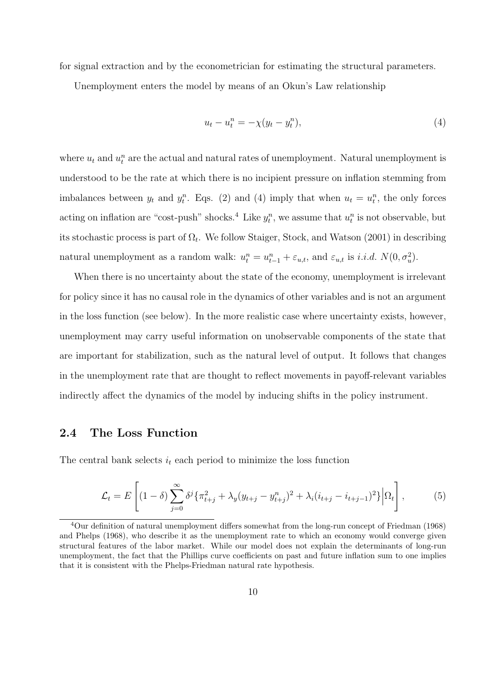for signal extraction and by the econometrician for estimating the structural parameters.

Unemployment enters the model by means of an Okun's Law relationship

$$
u_t - u_t^n = -\chi(y_t - y_t^n),\tag{4}
$$

where  $u_t$  and  $u_t^n$  are the actual and natural rates of unemployment. Natural unemployment is understood to be the rate at which there is no incipient pressure on inflation stemming from imbalances between  $y_t$  and  $y_t^n$ . Eqs. (2) and (4) imply that when  $u_t = u_t^n$ , the only forces acting on inflation are "cost-push" shocks.<sup>4</sup> Like  $y_t^n$ , we assume that  $u_t^n$  is not observable, but its stochastic process is part of  $\Omega_t$ . We follow Staiger, Stock, and Watson (2001) in describing natural unemployment as a random walk:  $u_t^n = u_{t-1}^n + \varepsilon_{u,t}$ , and  $\varepsilon_{u,t}$  is *i.i.d.*  $N(0, \sigma_u^2)$ .

When there is no uncertainty about the state of the economy, unemployment is irrelevant for policy since it has no causal role in the dynamics of other variables and is not an argument in the loss function (see below). In the more realistic case where uncertainty exists, however, unemployment may carry useful information on unobservable components of the state that are important for stabilization, such as the natural level of output. It follows that changes in the unemployment rate that are thought to reflect movements in payoff-relevant variables indirectly affect the dynamics of the model by inducing shifts in the policy instrument.

#### 2.4 The Loss Function

The central bank selects  $i_t$  each period to minimize the loss function

$$
\mathcal{L}_t = E\left[ (1-\delta) \sum_{j=0}^{\infty} \delta^j \{ \pi_{t+j}^2 + \lambda_y (y_{t+j} - y_{t+j}^n)^2 + \lambda_i (i_{t+j} - i_{t+j-1})^2 \} \Big| \Omega_t \right],
$$
 (5)

<sup>4</sup>Our definition of natural unemployment differs somewhat from the long-run concept of Friedman (1968) and Phelps (1968), who describe it as the unemployment rate to which an economy would converge given structural features of the labor market. While our model does not explain the determinants of long-run unemployment, the fact that the Phillips curve coefficients on past and future inflation sum to one implies that it is consistent with the Phelps-Friedman natural rate hypothesis.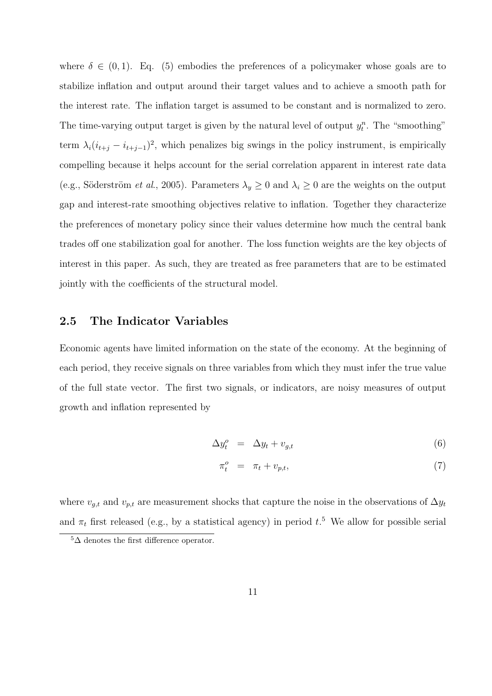where  $\delta \in (0,1)$ . Eq. (5) embodies the preferences of a policymaker whose goals are to stabilize inflation and output around their target values and to achieve a smooth path for the interest rate. The inflation target is assumed to be constant and is normalized to zero. The time-varying output target is given by the natural level of output  $y_t^n$ . The "smoothing" term  $\lambda_i (i_{t+j} - i_{t+j-1})^2$ , which penalizes big swings in the policy instrument, is empirically compelling because it helps account for the serial correlation apparent in interest rate data (e.g., Söderström *et al.*, 2005). Parameters  $\lambda_y \geq 0$  and  $\lambda_i \geq 0$  are the weights on the output gap and interest-rate smoothing objectives relative to inflation. Together they characterize the preferences of monetary policy since their values determine how much the central bank trades off one stabilization goal for another. The loss function weights are the key objects of interest in this paper. As such, they are treated as free parameters that are to be estimated jointly with the coefficients of the structural model.

### 2.5 The Indicator Variables

Economic agents have limited information on the state of the economy. At the beginning of each period, they receive signals on three variables from which they must infer the true value of the full state vector. The first two signals, or indicators, are noisy measures of output growth and inflation represented by

$$
\Delta y_t^o = \Delta y_t + v_{g,t} \tag{6}
$$

$$
\pi_t^o = \pi_t + v_{p,t},\tag{7}
$$

where  $v_{q,t}$  and  $v_{p,t}$  are measurement shocks that capture the noise in the observations of  $\Delta y_t$ and  $\pi_t$  first released (e.g., by a statistical agency) in period  $t$ <sup>5</sup>. We allow for possible serial

 $5\Delta$  denotes the first difference operator.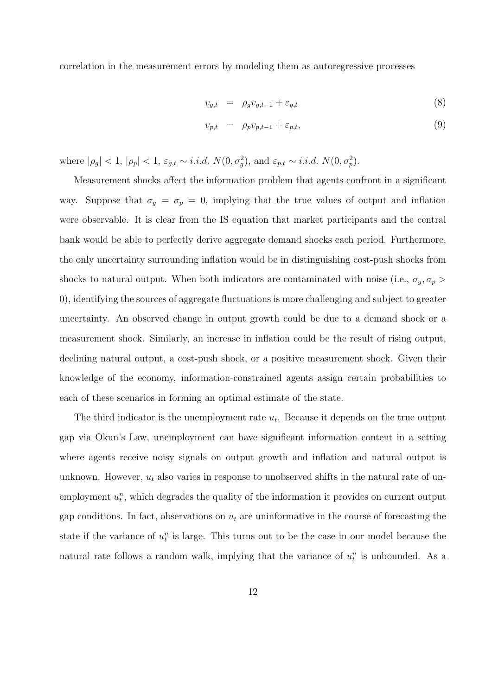correlation in the measurement errors by modeling them as autoregressive processes

$$
v_{g,t} = \rho_g v_{g,t-1} + \varepsilon_{g,t} \tag{8}
$$

$$
v_{p,t} = \rho_p v_{p,t-1} + \varepsilon_{p,t},\tag{9}
$$

where  $|\rho_g| < 1$ ,  $|\rho_p| < 1$ ,  $\varepsilon_{g,t} \sim i.i.d. N(0, \sigma_g^2)$ , and  $\varepsilon_{p,t} \sim i.i.d. N(0, \sigma_p^2)$ .

Measurement shocks affect the information problem that agents confront in a significant way. Suppose that  $\sigma_g = \sigma_p = 0$ , implying that the true values of output and inflation were observable. It is clear from the IS equation that market participants and the central bank would be able to perfectly derive aggregate demand shocks each period. Furthermore, the only uncertainty surrounding inflation would be in distinguishing cost-push shocks from shocks to natural output. When both indicators are contaminated with noise (i.e.,  $\sigma_g$ ,  $\sigma_p$ ) 0), identifying the sources of aggregate fluctuations is more challenging and subject to greater uncertainty. An observed change in output growth could be due to a demand shock or a measurement shock. Similarly, an increase in inflation could be the result of rising output, declining natural output, a cost-push shock, or a positive measurement shock. Given their knowledge of the economy, information-constrained agents assign certain probabilities to each of these scenarios in forming an optimal estimate of the state.

The third indicator is the unemployment rate  $u_t$ . Because it depends on the true output gap via Okun's Law, unemployment can have significant information content in a setting where agents receive noisy signals on output growth and inflation and natural output is unknown. However,  $u_t$  also varies in response to unobserved shifts in the natural rate of unemployment  $u_t^n$ , which degrades the quality of the information it provides on current output gap conditions. In fact, observations on  $u_t$  are uninformative in the course of forecasting the state if the variance of  $u_t^n$  is large. This turns out to be the case in our model because the natural rate follows a random walk, implying that the variance of  $u_t^n$  is unbounded. As a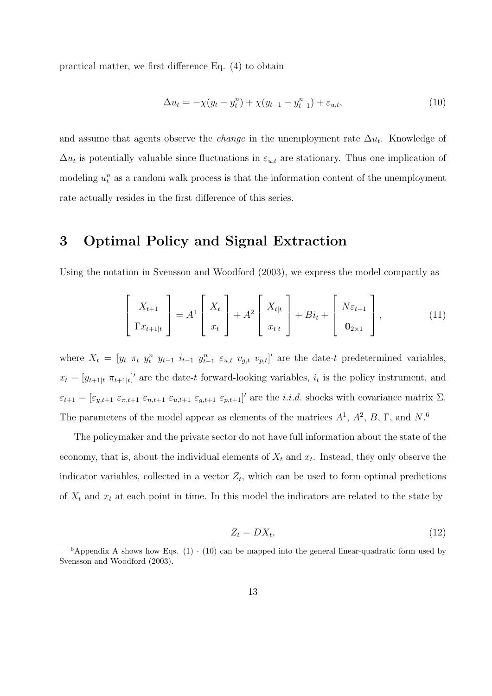practical matter, we first difference Eq. (4) to obtain

$$
\Delta u_t = -\chi(y_t - y_t^n) + \chi(y_{t-1} - y_{t-1}^n) + \varepsilon_{u,t},
$$
\n(10)

and assume that agents observe the *change* in the unemployment rate  $\Delta u_t$ . Knowledge of  $\Delta u_t$  is potentially valuable since fluctuations in  $\varepsilon_{u,t}$  are stationary. Thus one implication of modeling  $u_t^n$  as a random walk process is that the information content of the unemployment rate actually resides in the first difference of this series.

### 3 Optimal Policy and Signal Extraction

Using the notation in Svensson and Woodford (2003), we express the model compactly as

$$
\begin{bmatrix} X_{t+1} \\ \Gamma x_{t+1|t} \end{bmatrix} = A^1 \begin{bmatrix} X_t \\ x_t \end{bmatrix} + A^2 \begin{bmatrix} X_{t|t} \\ x_{t|t} \end{bmatrix} + Bi_t + \begin{bmatrix} N\varepsilon_{t+1} \\ \mathbf{0}_{2\times 1} \end{bmatrix},
$$
(11)

where  $X_t = [y_t \ \pi_t \ y_t^n \ y_{t-1} \ i_{t-1} \ y_{t-1}^n \ \varepsilon_{u,t} \ v_{g,t} \ v_{p,t}]'$  are the date-t predetermined variables,  $x_t = [y_{t+1|t} \ \pi_{t+1|t}]'$  are the date-t forward-looking variables,  $i_t$  is the policy instrument, and  $\varepsilon_{t+1} = [\varepsilon_{y,t+1} \varepsilon_{\pi,t+1} \varepsilon_{n,t+1} \varepsilon_{y,t+1} \varepsilon_{g,t+1} \varepsilon_{p,t+1}]'$  are the *i.i.d.* shocks with covariance matrix  $\Sigma$ . The parameters of the model appear as elements of the matrices  $A^1$ ,  $A^2$ ,  $B$ ,  $\Gamma$ , and  $N$ .<sup>6</sup>

The policymaker and the private sector do not have full information about the state of the economy, that is, about the individual elements of  $X_t$  and  $x_t$ . Instead, they only observe the indicator variables, collected in a vector  $Z_t$ , which can be used to form optimal predictions of  $X_t$  and  $x_t$  at each point in time. In this model the indicators are related to the state by

$$
Z_t = DX_t,\tag{12}
$$

 $6$ Appendix A shows how Eqs. (1) - (10) can be mapped into the general linear-quadratic form used by Svensson and Woodford (2003).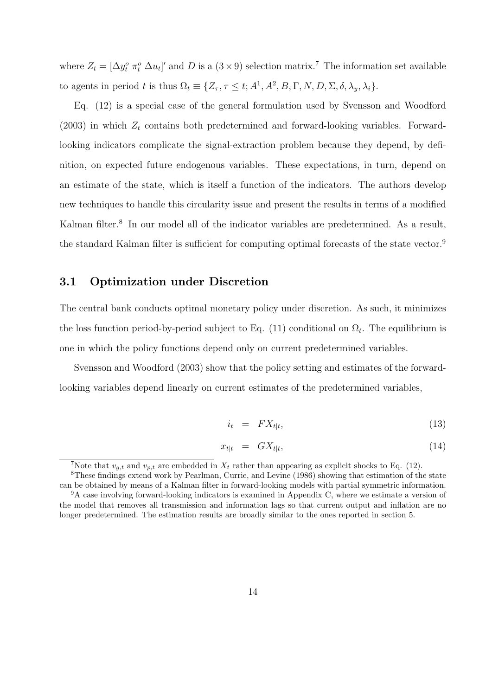where  $Z_t = [\Delta y_t^o \ \pi_t^o \ \Delta u_t]'$  and D is a  $(3 \times 9)$  selection matrix.<sup>7</sup> The information set available to agents in period t is thus  $\Omega_t \equiv \{Z_\tau, \tau \leq t; A^1, A^2, B, \Gamma, N, D, \Sigma, \delta, \lambda_y, \lambda_i\}.$ 

Eq. (12) is a special case of the general formulation used by Svensson and Woodford (2003) in which  $Z_t$  contains both predetermined and forward-looking variables. Forwardlooking indicators complicate the signal-extraction problem because they depend, by definition, on expected future endogenous variables. These expectations, in turn, depend on an estimate of the state, which is itself a function of the indicators. The authors develop new techniques to handle this circularity issue and present the results in terms of a modified Kalman filter.<sup>8</sup> In our model all of the indicator variables are predetermined. As a result, the standard Kalman filter is sufficient for computing optimal forecasts of the state vector.<sup>9</sup>

#### 3.1 Optimization under Discretion

The central bank conducts optimal monetary policy under discretion. As such, it minimizes the loss function period-by-period subject to Eq. (11) conditional on  $\Omega_t$ . The equilibrium is one in which the policy functions depend only on current predetermined variables.

Svensson and Woodford (2003) show that the policy setting and estimates of the forwardlooking variables depend linearly on current estimates of the predetermined variables,

$$
i_t = FX_{t|t}, \tag{13}
$$

$$
x_{t|t} = GX_{t|t}, \tag{14}
$$

<sup>&</sup>lt;sup>7</sup>Note that  $v_{q,t}$  and  $v_{p,t}$  are embedded in  $X_t$  rather than appearing as explicit shocks to Eq. (12).

<sup>8</sup>These findings extend work by Pearlman, Currie, and Levine (1986) showing that estimation of the state can be obtained by means of a Kalman filter in forward-looking models with partial symmetric information.  $9A$  case involving forward-looking indicators is examined in Appendix C, where we estimate a version of

the model that removes all transmission and information lags so that current output and inflation are no longer predetermined. The estimation results are broadly similar to the ones reported in section 5.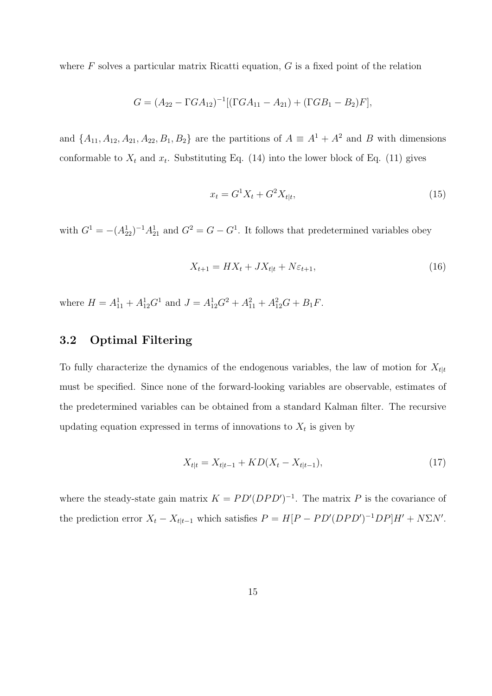where  $F$  solves a particular matrix Ricatti equation,  $G$  is a fixed point of the relation

$$
G = (A_{22} - \Gamma G A_{12})^{-1} [(\Gamma G A_{11} - A_{21}) + (\Gamma G B_1 - B_2) F],
$$

and  $\{A_{11}, A_{12}, A_{21}, A_{22}, B_1, B_2\}$  are the partitions of  $A \equiv A^1 + A^2$  and B with dimensions conformable to  $X_t$  and  $x_t$ . Substituting Eq. (14) into the lower block of Eq. (11) gives

$$
x_t = G^1 X_t + G^2 X_{t|t},\tag{15}
$$

with  $G^1 = -(A_{22}^1)^{-1}A_{21}^1$  and  $G^2 = G - G^1$ . It follows that predetermined variables obey

$$
X_{t+1} = HX_t + JX_{t|t} + N\varepsilon_{t+1},\tag{16}
$$

where  $H = A_{11}^1 + A_{12}^1 G^1$  and  $J = A_{12}^1 G^2 + A_{11}^2 + A_{12}^2 G + B_1 F$ .

### 3.2 Optimal Filtering

To fully characterize the dynamics of the endogenous variables, the law of motion for  $X_{t|t}$ must be specified. Since none of the forward-looking variables are observable, estimates of the predetermined variables can be obtained from a standard Kalman filter. The recursive updating equation expressed in terms of innovations to  $X_t$  is given by

$$
X_{t|t} = X_{t|t-1} + KD(X_t - X_{t|t-1}),
$$
\n(17)

where the steady-state gain matrix  $K = PD'(DPD')^{-1}$ . The matrix P is the covariance of the prediction error  $X_t - X_{t|t-1}$  which satisfies  $P = H[P - PD'(DPD')^{-1}DP]H' + N\Sigma N'$ .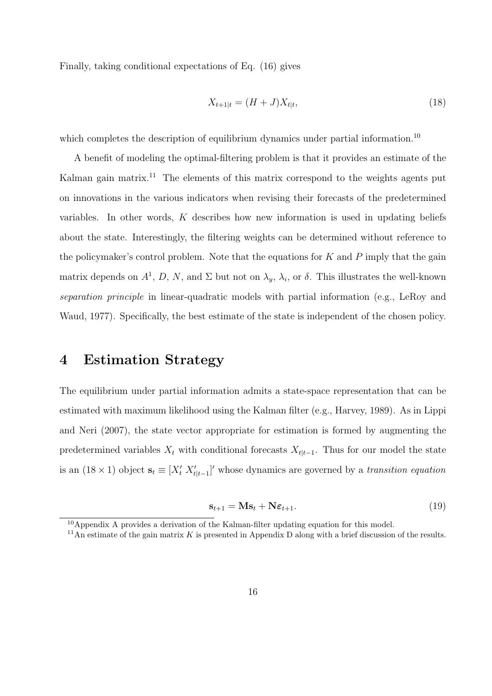Finally, taking conditional expectations of Eq. (16) gives

$$
X_{t+1|t} = (H+J)X_{t|t},\tag{18}
$$

which completes the description of equilibrium dynamics under partial information.<sup>10</sup>

A benefit of modeling the optimal-filtering problem is that it provides an estimate of the Kalman gain matrix.<sup>11</sup> The elements of this matrix correspond to the weights agents put on innovations in the various indicators when revising their forecasts of the predetermined variables. In other words,  $K$  describes how new information is used in updating beliefs about the state. Interestingly, the filtering weights can be determined without reference to the policymaker's control problem. Note that the equations for  $K$  and  $P$  imply that the gain matrix depends on  $A^1$ , D, N, and  $\Sigma$  but not on  $\lambda_y$ ,  $\lambda_i$ , or  $\delta$ . This illustrates the well-known separation principle in linear-quadratic models with partial information (e.g., LeRoy and Waud, 1977). Specifically, the best estimate of the state is independent of the chosen policy.

### 4 Estimation Strategy

The equilibrium under partial information admits a state-space representation that can be estimated with maximum likelihood using the Kalman filter (e.g., Harvey, 1989). As in Lippi and Neri (2007), the state vector appropriate for estimation is formed by augmenting the predetermined variables  $X_t$  with conditional forecasts  $X_{t|t-1}$ . Thus for our model the state is an  $(18 \times 1)$  object  $\mathbf{s}_t \equiv [X'_t \; X'_{t|t-1}]'$  whose dynamics are governed by a transition equation

$$
\mathbf{s}_{t+1} = \mathbf{M}\mathbf{s}_t + \mathbf{N}\boldsymbol{\varepsilon}_{t+1}.\tag{19}
$$

 $10$ Appendix A provides a derivation of the Kalman-filter updating equation for this model.

<sup>&</sup>lt;sup>11</sup>An estimate of the gain matrix K is presented in Appendix D along with a brief discussion of the results.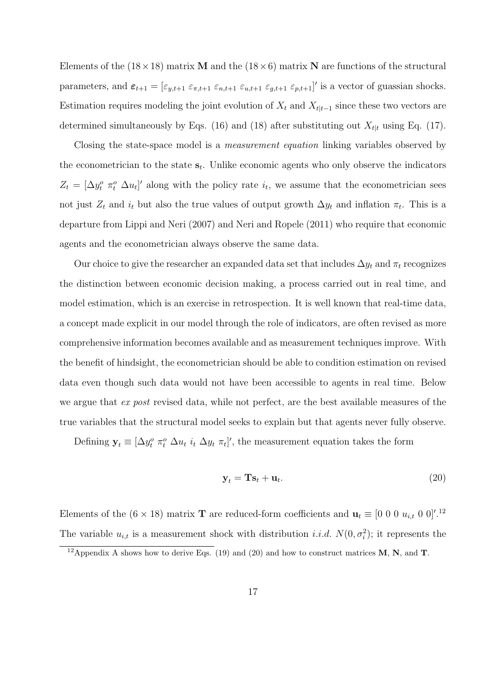Elements of the  $(18\times18)$  matrix **M** and the  $(18\times6)$  matrix **N** are functions of the structural parameters, and  $\varepsilon_{t+1} = [\varepsilon_{y,t+1} \varepsilon_{\pi,t+1} \varepsilon_{n,t+1} \varepsilon_{y,t+1} \varepsilon_{g,t+1} \varepsilon_{p,t+1}]'$  is a vector of guassian shocks. Estimation requires modeling the joint evolution of  $X_t$  and  $X_{t|t-1}$  since these two vectors are determined simultaneously by Eqs. (16) and (18) after substituting out  $X_{t|t}$  using Eq. (17).

Closing the state-space model is a measurement equation linking variables observed by the econometrician to the state  $s_t$ . Unlike economic agents who only observe the indicators  $Z_t = [\Delta y_t^o \ \pi_t^o \ \Delta u_t]'$  along with the policy rate  $i_t$ , we assume that the econometrician sees not just  $Z_t$  and  $i_t$  but also the true values of output growth  $\Delta y_t$  and inflation  $\pi_t$ . This is a departure from Lippi and Neri (2007) and Neri and Ropele (2011) who require that economic agents and the econometrician always observe the same data.

Our choice to give the researcher an expanded data set that includes  $\Delta y_t$  and  $\pi_t$  recognizes the distinction between economic decision making, a process carried out in real time, and model estimation, which is an exercise in retrospection. It is well known that real-time data, a concept made explicit in our model through the role of indicators, are often revised as more comprehensive information becomes available and as measurement techniques improve. With the benefit of hindsight, the econometrician should be able to condition estimation on revised data even though such data would not have been accessible to agents in real time. Below we argue that ex post revised data, while not perfect, are the best available measures of the true variables that the structural model seeks to explain but that agents never fully observe.

Defining  $\mathbf{y}_t \equiv [\Delta y_t^o \ \pi_t^o \ \Delta u_t \ i_t \ \Delta y_t \ \pi_t]'$ , the measurement equation takes the form

$$
\mathbf{y}_t = \mathbf{T}\mathbf{s}_t + \mathbf{u}_t. \tag{20}
$$

Elements of the  $(6 \times 18)$  matrix **T** are reduced-form coefficients and  $\mathbf{u}_t \equiv [0 \ 0 \ 0 \ u_{i,t} \ 0 \ 0]^{\prime}$ .<sup>12</sup> The variable  $u_{i,t}$  is a measurement shock with distribution *i.i.d.*  $N(0, \sigma_i^2)$ ; it represents the

<sup>&</sup>lt;sup>12</sup> Appendix A shows how to derive Eqs. (19) and (20) and how to construct matrices **M**, **N**, and **T**.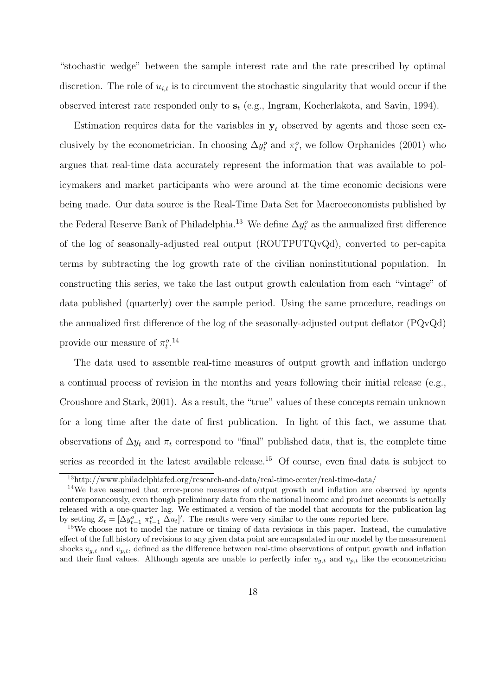"stochastic wedge" between the sample interest rate and the rate prescribed by optimal discretion. The role of  $u_{i,t}$  is to circumvent the stochastic singularity that would occur if the observed interest rate responded only to  $s_t$  (e.g., Ingram, Kocherlakota, and Savin, 1994).

Estimation requires data for the variables in  $y_t$  observed by agents and those seen exclusively by the econometrician. In choosing  $\Delta y_t^o$  and  $\pi_t^o$ , we follow Orphanides (2001) who argues that real-time data accurately represent the information that was available to policymakers and market participants who were around at the time economic decisions were being made. Our data source is the Real-Time Data Set for Macroeconomists published by the Federal Reserve Bank of Philadelphia.<sup>13</sup> We define  $\Delta y_t^o$  as the annualized first difference of the log of seasonally-adjusted real output (ROUTPUTQvQd), converted to per-capita terms by subtracting the log growth rate of the civilian noninstitutional population. In constructing this series, we take the last output growth calculation from each "vintage" of data published (quarterly) over the sample period. Using the same procedure, readings on the annualized first difference of the log of the seasonally-adjusted output deflator (PQvQd) provide our measure of  $\pi_t^{o.14}$ 

The data used to assemble real-time measures of output growth and inflation undergo a continual process of revision in the months and years following their initial release (e.g., Croushore and Stark, 2001). As a result, the "true" values of these concepts remain unknown for a long time after the date of first publication. In light of this fact, we assume that observations of  $\Delta y_t$  and  $\pi_t$  correspond to "final" published data, that is, the complete time series as recorded in the latest available release.<sup>15</sup> Of course, even final data is subject to

<sup>13</sup>http://www.philadelphiafed.org/research-and-data/real-time-center/real-time-data/

<sup>&</sup>lt;sup>14</sup>We have assumed that error-prone measures of output growth and inflation are observed by agents contemporaneously, even though preliminary data from the national income and product accounts is actually released with a one-quarter lag. We estimated a version of the model that accounts for the publication lag by setting  $Z_t = [\Delta y_{t-1}^o \ \pi_{t-1}^o \ \Delta u_t]'$ . The results were very similar to the ones reported here.

<sup>15</sup>We choose not to model the nature or timing of data revisions in this paper. Instead, the cumulative effect of the full history of revisions to any given data point are encapsulated in our model by the measurement shocks  $v_{q,t}$  and  $v_{p,t}$ , defined as the difference between real-time observations of output growth and inflation and their final values. Although agents are unable to perfectly infer  $v_{q,t}$  and  $v_{p,t}$  like the econometrician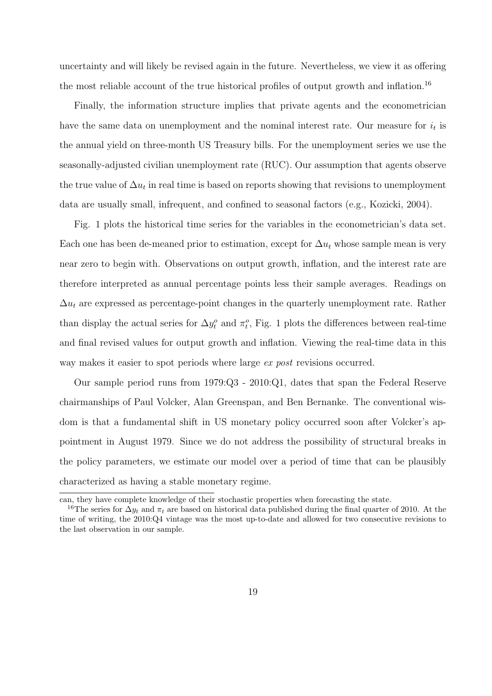uncertainty and will likely be revised again in the future. Nevertheless, we view it as offering the most reliable account of the true historical profiles of output growth and inflation.<sup>16</sup>

Finally, the information structure implies that private agents and the econometrician have the same data on unemployment and the nominal interest rate. Our measure for  $i_t$  is the annual yield on three-month US Treasury bills. For the unemployment series we use the seasonally-adjusted civilian unemployment rate (RUC). Our assumption that agents observe the true value of  $\Delta u_t$  in real time is based on reports showing that revisions to unemployment data are usually small, infrequent, and confined to seasonal factors (e.g., Kozicki, 2004).

Fig. 1 plots the historical time series for the variables in the econometrician's data set. Each one has been de-meaned prior to estimation, except for  $\Delta u_t$  whose sample mean is very near zero to begin with. Observations on output growth, inflation, and the interest rate are therefore interpreted as annual percentage points less their sample averages. Readings on  $\Delta u_t$  are expressed as percentage-point changes in the quarterly unemployment rate. Rather than display the actual series for  $\Delta y_t^o$  and  $\pi_t^o$ , Fig. 1 plots the differences between real-time and final revised values for output growth and inflation. Viewing the real-time data in this way makes it easier to spot periods where large ex post revisions occurred.

Our sample period runs from 1979:Q3 - 2010:Q1, dates that span the Federal Reserve chairmanships of Paul Volcker, Alan Greenspan, and Ben Bernanke. The conventional wisdom is that a fundamental shift in US monetary policy occurred soon after Volcker's appointment in August 1979. Since we do not address the possibility of structural breaks in the policy parameters, we estimate our model over a period of time that can be plausibly characterized as having a stable monetary regime.

can, they have complete knowledge of their stochastic properties when forecasting the state.

<sup>&</sup>lt;sup>16</sup>The series for  $\Delta y_t$  and  $\pi_t$  are based on historical data published during the final quarter of 2010. At the time of writing, the 2010:Q4 vintage was the most up-to-date and allowed for two consecutive revisions to the last observation in our sample.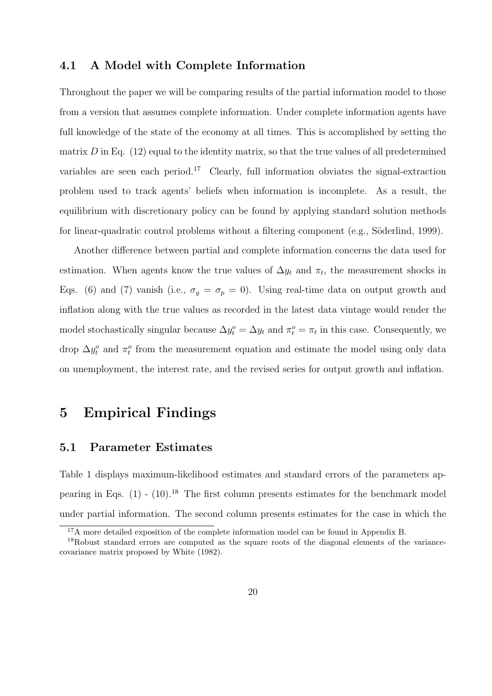#### 4.1 A Model with Complete Information

Throughout the paper we will be comparing results of the partial information model to those from a version that assumes complete information. Under complete information agents have full knowledge of the state of the economy at all times. This is accomplished by setting the matrix  $D$  in Eq. (12) equal to the identity matrix, so that the true values of all predetermined variables are seen each period.<sup>17</sup> Clearly, full information obviates the signal-extraction problem used to track agents' beliefs when information is incomplete. As a result, the equilibrium with discretionary policy can be found by applying standard solution methods for linear-quadratic control problems without a filtering component (e.g., Söderlind, 1999).

Another difference between partial and complete information concerns the data used for estimation. When agents know the true values of  $\Delta y_t$  and  $\pi_t$ , the measurement shocks in Eqs. (6) and (7) vanish (i.e.,  $\sigma_g = \sigma_p = 0$ ). Using real-time data on output growth and inflation along with the true values as recorded in the latest data vintage would render the model stochastically singular because  $\Delta y_t^o = \Delta y_t$  and  $\pi_t^o = \pi_t$  in this case. Consequently, we drop  $\Delta y_t^o$  and  $\pi_t^o$  from the measurement equation and estimate the model using only data on unemployment, the interest rate, and the revised series for output growth and inflation.

### 5 Empirical Findings

### 5.1 Parameter Estimates

Table 1 displays maximum-likelihood estimates and standard errors of the parameters appearing in Eqs.  $(1)$  -  $(10)$ .<sup>18</sup> The first column presents estimates for the benchmark model under partial information. The second column presents estimates for the case in which the

 $17A$  more detailed exposition of the complete information model can be found in Appendix B.

<sup>&</sup>lt;sup>18</sup>Robust standard errors are computed as the square roots of the diagonal elements of the variancecovariance matrix proposed by White (1982).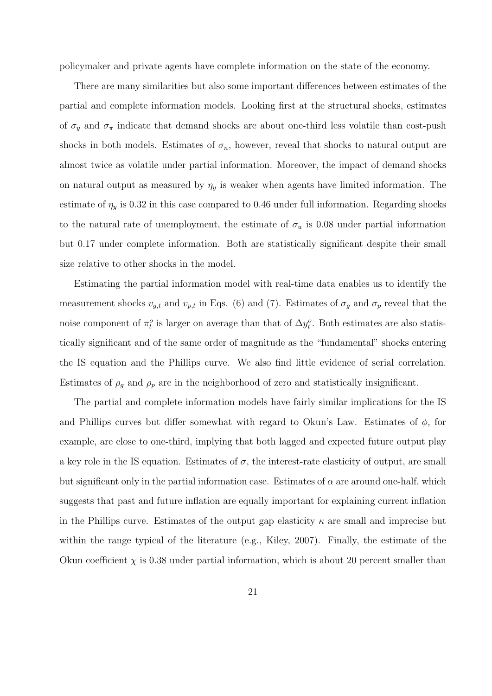policymaker and private agents have complete information on the state of the economy.

There are many similarities but also some important differences between estimates of the partial and complete information models. Looking first at the structural shocks, estimates of  $\sigma_y$  and  $\sigma_{\pi}$  indicate that demand shocks are about one-third less volatile than cost-push shocks in both models. Estimates of  $\sigma_n$ , however, reveal that shocks to natural output are almost twice as volatile under partial information. Moreover, the impact of demand shocks on natural output as measured by  $\eta_y$  is weaker when agents have limited information. The estimate of  $\eta_y$  is 0.32 in this case compared to 0.46 under full information. Regarding shocks to the natural rate of unemployment, the estimate of  $\sigma_u$  is 0.08 under partial information but 0.17 under complete information. Both are statistically significant despite their small size relative to other shocks in the model.

Estimating the partial information model with real-time data enables us to identify the measurement shocks  $v_{g,t}$  and  $v_{p,t}$  in Eqs. (6) and (7). Estimates of  $\sigma_g$  and  $\sigma_p$  reveal that the noise component of  $\pi_t^o$  is larger on average than that of  $\Delta y_t^o$ . Both estimates are also statistically significant and of the same order of magnitude as the "fundamental" shocks entering the IS equation and the Phillips curve. We also find little evidence of serial correlation. Estimates of  $\rho_g$  and  $\rho_p$  are in the neighborhood of zero and statistically insignificant.

The partial and complete information models have fairly similar implications for the IS and Phillips curves but differ somewhat with regard to Okun's Law. Estimates of  $\phi$ , for example, are close to one-third, implying that both lagged and expected future output play a key role in the IS equation. Estimates of  $\sigma$ , the interest-rate elasticity of output, are small but significant only in the partial information case. Estimates of  $\alpha$  are around one-half, which suggests that past and future inflation are equally important for explaining current inflation in the Phillips curve. Estimates of the output gap elasticity  $\kappa$  are small and imprecise but within the range typical of the literature (e.g., Kiley, 2007). Finally, the estimate of the Okun coefficient  $\chi$  is 0.38 under partial information, which is about 20 percent smaller than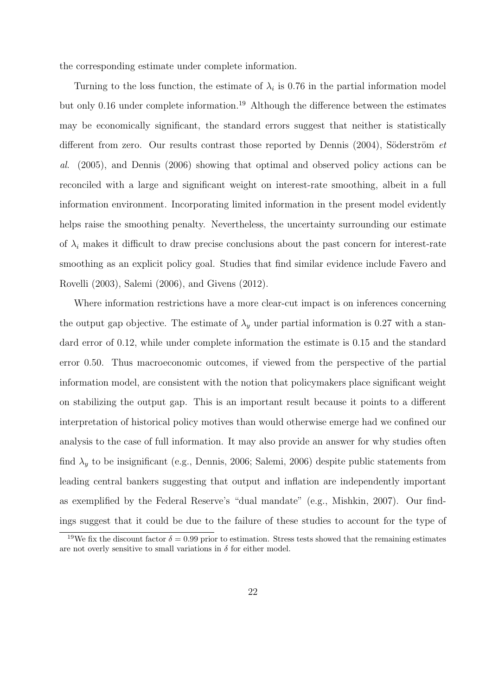the corresponding estimate under complete information.

Turning to the loss function, the estimate of  $\lambda_i$  is 0.76 in the partial information model but only 0.16 under complete information.<sup>19</sup> Although the difference between the estimates may be economically significant, the standard errors suggest that neither is statistically different from zero. Our results contrast those reported by Dennis  $(2004)$ , Söderström et al. (2005), and Dennis (2006) showing that optimal and observed policy actions can be reconciled with a large and significant weight on interest-rate smoothing, albeit in a full information environment. Incorporating limited information in the present model evidently helps raise the smoothing penalty. Nevertheless, the uncertainty surrounding our estimate of  $\lambda_i$  makes it difficult to draw precise conclusions about the past concern for interest-rate smoothing as an explicit policy goal. Studies that find similar evidence include Favero and Rovelli (2003), Salemi (2006), and Givens (2012).

Where information restrictions have a more clear-cut impact is on inferences concerning the output gap objective. The estimate of  $\lambda_y$  under partial information is 0.27 with a standard error of 0.12, while under complete information the estimate is 0.15 and the standard error 0.50. Thus macroeconomic outcomes, if viewed from the perspective of the partial information model, are consistent with the notion that policymakers place significant weight on stabilizing the output gap. This is an important result because it points to a different interpretation of historical policy motives than would otherwise emerge had we confined our analysis to the case of full information. It may also provide an answer for why studies often find  $\lambda_y$  to be insignificant (e.g., Dennis, 2006; Salemi, 2006) despite public statements from leading central bankers suggesting that output and inflation are independently important as exemplified by the Federal Reserve's "dual mandate" (e.g., Mishkin, 2007). Our findings suggest that it could be due to the failure of these studies to account for the type of

<sup>&</sup>lt;sup>19</sup>We fix the discount factor  $\delta = 0.99$  prior to estimation. Stress tests showed that the remaining estimates are not overly sensitive to small variations in  $\delta$  for either model.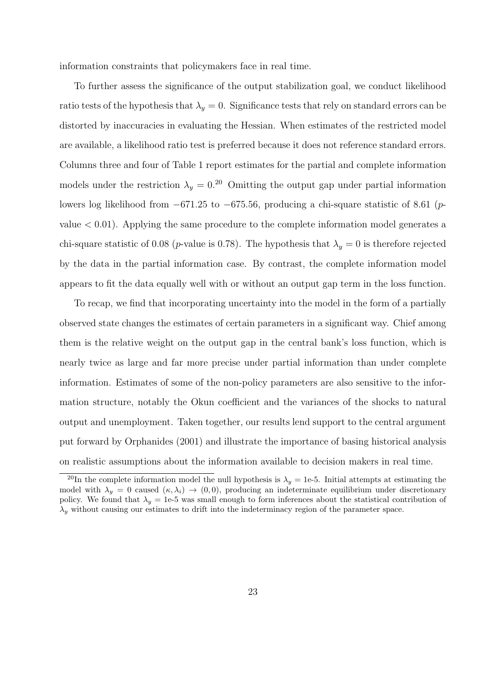information constraints that policymakers face in real time.

To further assess the significance of the output stabilization goal, we conduct likelihood ratio tests of the hypothesis that  $\lambda_y = 0$ . Significance tests that rely on standard errors can be distorted by inaccuracies in evaluating the Hessian. When estimates of the restricted model are available, a likelihood ratio test is preferred because it does not reference standard errors. Columns three and four of Table 1 report estimates for the partial and complete information models under the restriction  $\lambda_y = 0.^{20}$  Omitting the output gap under partial information lowers log likelihood from −671.25 to −675.56, producing a chi-square statistic of 8.61 (pvalue  $< 0.01$ ). Applying the same procedure to the complete information model generates a chi-square statistic of 0.08 (p-value is 0.78). The hypothesis that  $\lambda_y = 0$  is therefore rejected by the data in the partial information case. By contrast, the complete information model appears to fit the data equally well with or without an output gap term in the loss function.

To recap, we find that incorporating uncertainty into the model in the form of a partially observed state changes the estimates of certain parameters in a significant way. Chief among them is the relative weight on the output gap in the central bank's loss function, which is nearly twice as large and far more precise under partial information than under complete information. Estimates of some of the non-policy parameters are also sensitive to the information structure, notably the Okun coefficient and the variances of the shocks to natural output and unemployment. Taken together, our results lend support to the central argument put forward by Orphanides (2001) and illustrate the importance of basing historical analysis on realistic assumptions about the information available to decision makers in real time.

<sup>&</sup>lt;sup>20</sup>In the complete information model the null hypothesis is  $\lambda_y = 1$ e-5. Initial attempts at estimating the model with  $\lambda_y = 0$  caused  $(\kappa, \lambda_i) \to (0, 0)$ , producing an indeterminate equilibrium under discretionary policy. We found that  $\lambda_y = 1$ e-5 was small enough to form inferences about the statistical contribution of  $\lambda_{y}$  without causing our estimates to drift into the indeterminacy region of the parameter space.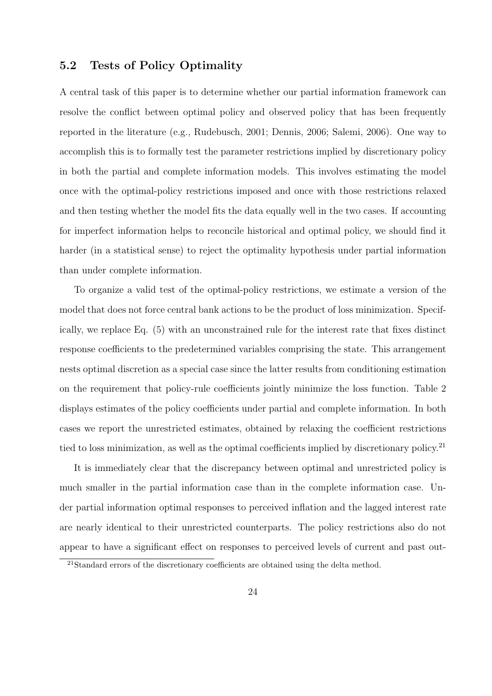### 5.2 Tests of Policy Optimality

A central task of this paper is to determine whether our partial information framework can resolve the conflict between optimal policy and observed policy that has been frequently reported in the literature (e.g., Rudebusch, 2001; Dennis, 2006; Salemi, 2006). One way to accomplish this is to formally test the parameter restrictions implied by discretionary policy in both the partial and complete information models. This involves estimating the model once with the optimal-policy restrictions imposed and once with those restrictions relaxed and then testing whether the model fits the data equally well in the two cases. If accounting for imperfect information helps to reconcile historical and optimal policy, we should find it harder (in a statistical sense) to reject the optimality hypothesis under partial information than under complete information.

To organize a valid test of the optimal-policy restrictions, we estimate a version of the model that does not force central bank actions to be the product of loss minimization. Specifically, we replace Eq. (5) with an unconstrained rule for the interest rate that fixes distinct response coefficients to the predetermined variables comprising the state. This arrangement nests optimal discretion as a special case since the latter results from conditioning estimation on the requirement that policy-rule coefficients jointly minimize the loss function. Table 2 displays estimates of the policy coefficients under partial and complete information. In both cases we report the unrestricted estimates, obtained by relaxing the coefficient restrictions tied to loss minimization, as well as the optimal coefficients implied by discretionary policy.<sup>21</sup>

It is immediately clear that the discrepancy between optimal and unrestricted policy is much smaller in the partial information case than in the complete information case. Under partial information optimal responses to perceived inflation and the lagged interest rate are nearly identical to their unrestricted counterparts. The policy restrictions also do not appear to have a significant effect on responses to perceived levels of current and past out-

<sup>&</sup>lt;sup>21</sup>Standard errors of the discretionary coefficients are obtained using the delta method.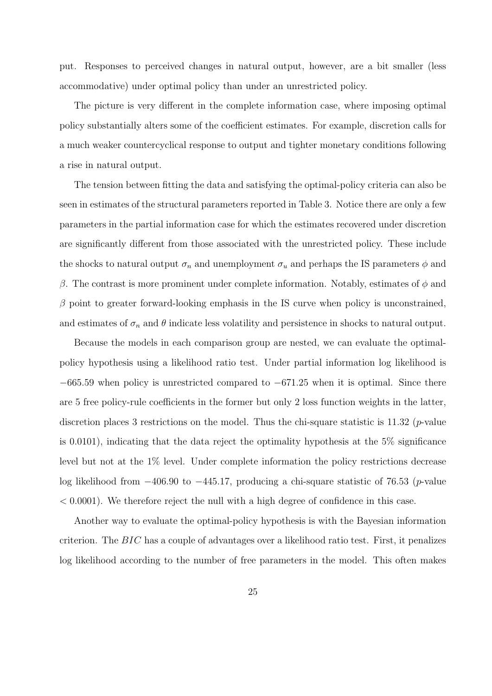put. Responses to perceived changes in natural output, however, are a bit smaller (less accommodative) under optimal policy than under an unrestricted policy.

The picture is very different in the complete information case, where imposing optimal policy substantially alters some of the coefficient estimates. For example, discretion calls for a much weaker countercyclical response to output and tighter monetary conditions following a rise in natural output.

The tension between fitting the data and satisfying the optimal-policy criteria can also be seen in estimates of the structural parameters reported in Table 3. Notice there are only a few parameters in the partial information case for which the estimates recovered under discretion are significantly different from those associated with the unrestricted policy. These include the shocks to natural output  $\sigma_n$  and unemployment  $\sigma_u$  and perhaps the IS parameters  $\phi$  and β. The contrast is more prominent under complete information. Notably, estimates of  $φ$  and  $\beta$  point to greater forward-looking emphasis in the IS curve when policy is unconstrained, and estimates of  $\sigma_n$  and  $\theta$  indicate less volatility and persistence in shocks to natural output.

Because the models in each comparison group are nested, we can evaluate the optimalpolicy hypothesis using a likelihood ratio test. Under partial information log likelihood is  $-665.59$  when policy is unrestricted compared to  $-671.25$  when it is optimal. Since there are 5 free policy-rule coefficients in the former but only 2 loss function weights in the latter, discretion places 3 restrictions on the model. Thus the chi-square statistic is  $11.32$  (*p*-value is 0.0101), indicating that the data reject the optimality hypothesis at the 5% significance level but not at the 1% level. Under complete information the policy restrictions decrease log likelihood from −406.90 to −445.17, producing a chi-square statistic of 76.53 (p-value  $< 0.0001$ ). We therefore reject the null with a high degree of confidence in this case.

Another way to evaluate the optimal-policy hypothesis is with the Bayesian information criterion. The  $BIC$  has a couple of advantages over a likelihood ratio test. First, it penalizes log likelihood according to the number of free parameters in the model. This often makes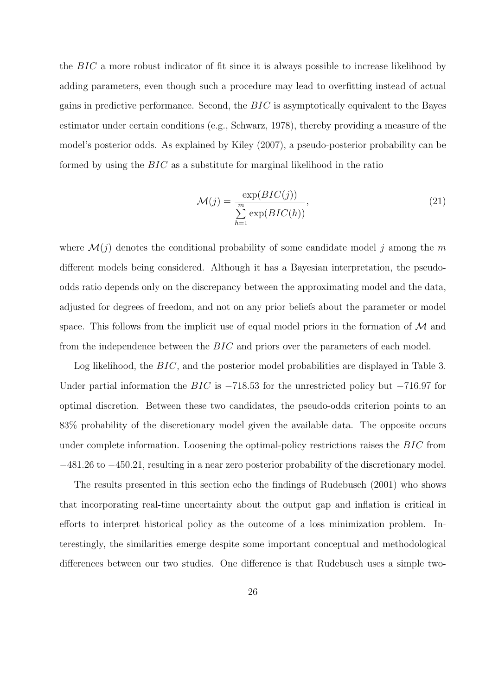the BIC a more robust indicator of fit since it is always possible to increase likelihood by adding parameters, even though such a procedure may lead to overfitting instead of actual gains in predictive performance. Second, the  $BIC$  is asymptotically equivalent to the Bayes estimator under certain conditions (e.g., Schwarz, 1978), thereby providing a measure of the model's posterior odds. As explained by Kiley (2007), a pseudo-posterior probability can be formed by using the BIC as a substitute for marginal likelihood in the ratio

$$
\mathcal{M}(j) = \frac{\exp(BIC(j))}{\sum_{h=1}^{m} \exp(BIC(h))},\tag{21}
$$

where  $\mathcal{M}(j)$  denotes the conditional probability of some candidate model j among the m different models being considered. Although it has a Bayesian interpretation, the pseudoodds ratio depends only on the discrepancy between the approximating model and the data, adjusted for degrees of freedom, and not on any prior beliefs about the parameter or model space. This follows from the implicit use of equal model priors in the formation of  $\mathcal M$  and from the independence between the BIC and priors over the parameters of each model.

Log likelihood, the BIC, and the posterior model probabilities are displayed in Table 3. Under partial information the BIC is  $-718.53$  for the unrestricted policy but  $-716.97$  for optimal discretion. Between these two candidates, the pseudo-odds criterion points to an 83% probability of the discretionary model given the available data. The opposite occurs under complete information. Loosening the optimal-policy restrictions raises the BIC from −481.26 to −450.21, resulting in a near zero posterior probability of the discretionary model.

The results presented in this section echo the findings of Rudebusch (2001) who shows that incorporating real-time uncertainty about the output gap and inflation is critical in efforts to interpret historical policy as the outcome of a loss minimization problem. Interestingly, the similarities emerge despite some important conceptual and methodological differences between our two studies. One difference is that Rudebusch uses a simple two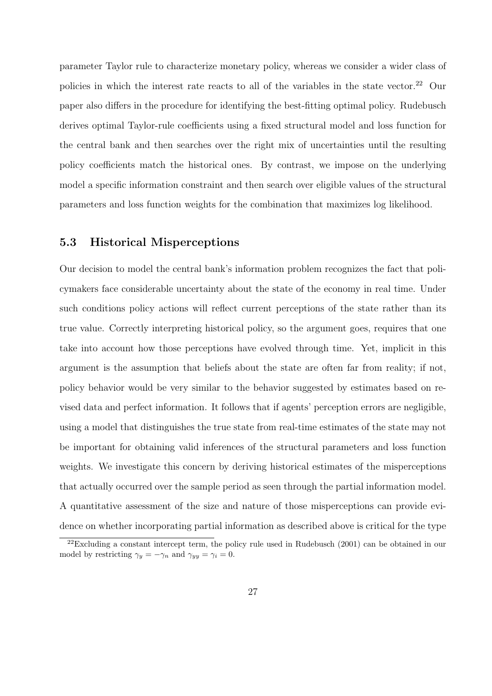parameter Taylor rule to characterize monetary policy, whereas we consider a wider class of policies in which the interest rate reacts to all of the variables in the state vector.<sup>22</sup> Our paper also differs in the procedure for identifying the best-fitting optimal policy. Rudebusch derives optimal Taylor-rule coefficients using a fixed structural model and loss function for the central bank and then searches over the right mix of uncertainties until the resulting policy coefficients match the historical ones. By contrast, we impose on the underlying model a specific information constraint and then search over eligible values of the structural parameters and loss function weights for the combination that maximizes log likelihood.

#### 5.3 Historical Misperceptions

Our decision to model the central bank's information problem recognizes the fact that policymakers face considerable uncertainty about the state of the economy in real time. Under such conditions policy actions will reflect current perceptions of the state rather than its true value. Correctly interpreting historical policy, so the argument goes, requires that one take into account how those perceptions have evolved through time. Yet, implicit in this argument is the assumption that beliefs about the state are often far from reality; if not, policy behavior would be very similar to the behavior suggested by estimates based on revised data and perfect information. It follows that if agents' perception errors are negligible, using a model that distinguishes the true state from real-time estimates of the state may not be important for obtaining valid inferences of the structural parameters and loss function weights. We investigate this concern by deriving historical estimates of the misperceptions that actually occurred over the sample period as seen through the partial information model. A quantitative assessment of the size and nature of those misperceptions can provide evidence on whether incorporating partial information as described above is critical for the type

 $22$ Excluding a constant intercept term, the policy rule used in Rudebusch (2001) can be obtained in our model by restricting  $\gamma_y = -\gamma_n$  and  $\gamma_{yy} = \gamma_i = 0$ .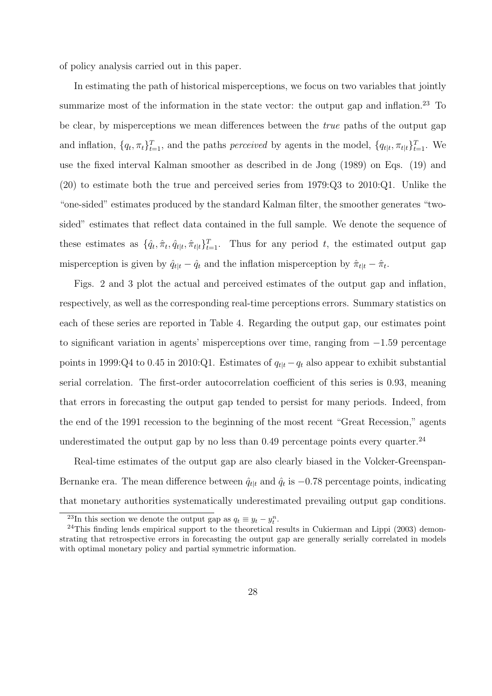of policy analysis carried out in this paper.

In estimating the path of historical misperceptions, we focus on two variables that jointly summarize most of the information in the state vector: the output gap and inflation.<sup>23</sup> To be clear, by misperceptions we mean differences between the true paths of the output gap and inflation,  $\{q_t, \pi_t\}_{t=1}^T$ , and the paths *perceived* by agents in the model,  $\{q_{t|t}, \pi_{t|t}\}_{t=1}^T$ . We use the fixed interval Kalman smoother as described in de Jong (1989) on Eqs. (19) and (20) to estimate both the true and perceived series from 1979:Q3 to 2010:Q1. Unlike the "one-sided" estimates produced by the standard Kalman filter, the smoother generates "twosided" estimates that reflect data contained in the full sample. We denote the sequence of these estimates as  $\{\hat{q}_t, \hat{\pi}_t, \hat{q}_{t|t}, \hat{\pi}_{t|t}\}_{t=1}^T$ . Thus for any period t, the estimated output gap misperception is given by  $\hat{q}_{t|t} - \hat{q}_t$  and the inflation misperception by  $\hat{\pi}_{t|t} - \hat{\pi}_t$ .

Figs. 2 and 3 plot the actual and perceived estimates of the output gap and inflation, respectively, as well as the corresponding real-time perceptions errors. Summary statistics on each of these series are reported in Table 4. Regarding the output gap, our estimates point to significant variation in agents' misperceptions over time, ranging from −1.59 percentage points in 1999:Q4 to 0.45 in 2010:Q1. Estimates of  $q_{t|t} - q_t$  also appear to exhibit substantial serial correlation. The first-order autocorrelation coefficient of this series is 0.93, meaning that errors in forecasting the output gap tended to persist for many periods. Indeed, from the end of the 1991 recession to the beginning of the most recent "Great Recession," agents underestimated the output gap by no less than  $0.49$  percentage points every quarter.<sup>24</sup>

Real-time estimates of the output gap are also clearly biased in the Volcker-Greenspan-Bernanke era. The mean difference between  $\hat{q}_{t|t}$  and  $\hat{q}_t$  is  $-0.78$  percentage points, indicating that monetary authorities systematically underestimated prevailing output gap conditions.

<sup>&</sup>lt;sup>23</sup>In this section we denote the output gap as  $q_t \equiv y_t - y_t^n$ .

 $^{24}$ This finding lends empirical support to the theoretical results in Cukierman and Lippi (2003) demonstrating that retrospective errors in forecasting the output gap are generally serially correlated in models with optimal monetary policy and partial symmetric information.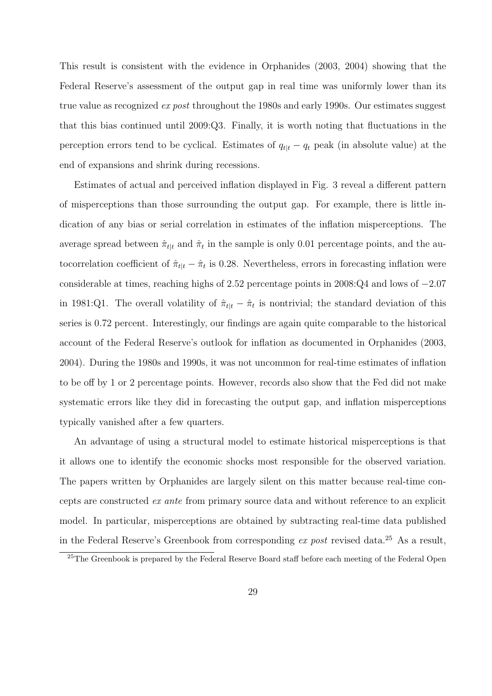This result is consistent with the evidence in Orphanides (2003, 2004) showing that the Federal Reserve's assessment of the output gap in real time was uniformly lower than its true value as recognized *ex post* throughout the 1980s and early 1990s. Our estimates suggest that this bias continued until 2009:Q3. Finally, it is worth noting that fluctuations in the perception errors tend to be cyclical. Estimates of  $q_{t|t} - q_t$  peak (in absolute value) at the end of expansions and shrink during recessions.

Estimates of actual and perceived inflation displayed in Fig. 3 reveal a different pattern of misperceptions than those surrounding the output gap. For example, there is little indication of any bias or serial correlation in estimates of the inflation misperceptions. The average spread between  $\hat{\pi}_{t|t}$  and  $\hat{\pi}_t$  in the sample is only 0.01 percentage points, and the autocorrelation coefficient of  $\hat{\pi}_{t|t} - \hat{\pi}_t$  is 0.28. Nevertheless, errors in forecasting inflation were considerable at times, reaching highs of 2.52 percentage points in 2008:Q4 and lows of −2.07 in 1981:Q1. The overall volatility of  $\hat{\pi}_{t|t} - \hat{\pi}_t$  is nontrivial; the standard deviation of this series is 0.72 percent. Interestingly, our findings are again quite comparable to the historical account of the Federal Reserve's outlook for inflation as documented in Orphanides (2003, 2004). During the 1980s and 1990s, it was not uncommon for real-time estimates of inflation to be off by 1 or 2 percentage points. However, records also show that the Fed did not make systematic errors like they did in forecasting the output gap, and inflation misperceptions typically vanished after a few quarters.

An advantage of using a structural model to estimate historical misperceptions is that it allows one to identify the economic shocks most responsible for the observed variation. The papers written by Orphanides are largely silent on this matter because real-time concepts are constructed ex ante from primary source data and without reference to an explicit model. In particular, misperceptions are obtained by subtracting real-time data published in the Federal Reserve's Greenbook from corresponding  $ex$  post revised data.<sup>25</sup> As a result,

<sup>&</sup>lt;sup>25</sup>The Greenbook is prepared by the Federal Reserve Board staff before each meeting of the Federal Open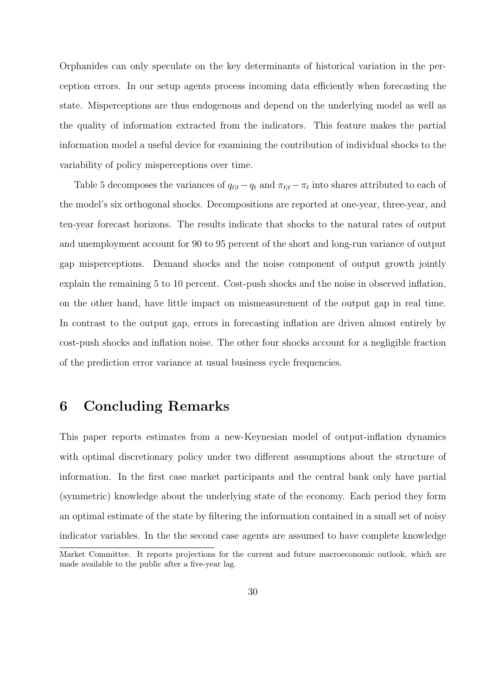Orphanides can only speculate on the key determinants of historical variation in the perception errors. In our setup agents process incoming data efficiently when forecasting the state. Misperceptions are thus endogenous and depend on the underlying model as well as the quality of information extracted from the indicators. This feature makes the partial information model a useful device for examining the contribution of individual shocks to the variability of policy misperceptions over time.

Table 5 decomposes the variances of  $q_{t|t} - q_t$  and  $\pi_{t|t} - \pi_t$  into shares attributed to each of the model's six orthogonal shocks. Decompositions are reported at one-year, three-year, and ten-year forecast horizons. The results indicate that shocks to the natural rates of output and unemployment account for 90 to 95 percent of the short and long-run variance of output gap misperceptions. Demand shocks and the noise component of output growth jointly explain the remaining 5 to 10 percent. Cost-push shocks and the noise in observed inflation, on the other hand, have little impact on mismeasurement of the output gap in real time. In contrast to the output gap, errors in forecasting inflation are driven almost entirely by cost-push shocks and inflation noise. The other four shocks account for a negligible fraction of the prediction error variance at usual business cycle frequencies.

### 6 Concluding Remarks

This paper reports estimates from a new-Keynesian model of output-inflation dynamics with optimal discretionary policy under two different assumptions about the structure of information. In the first case market participants and the central bank only have partial (symmetric) knowledge about the underlying state of the economy. Each period they form an optimal estimate of the state by filtering the information contained in a small set of noisy indicator variables. In the the second case agents are assumed to have complete knowledge Market Committee. It reports projections for the current and future macroeconomic outlook, which are

made available to the public after a five-year lag.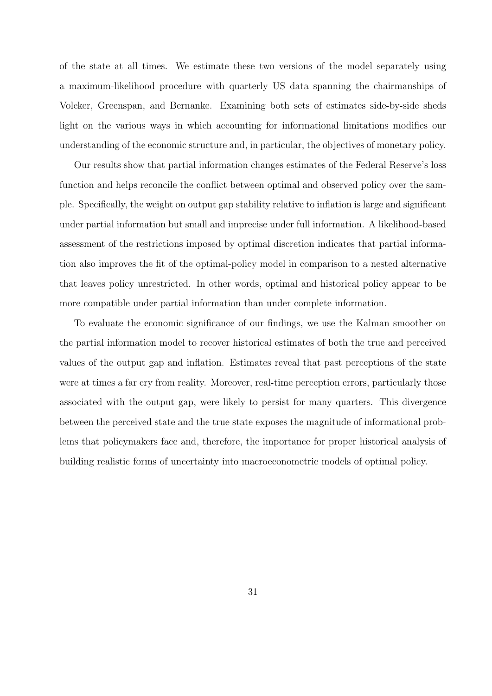of the state at all times. We estimate these two versions of the model separately using a maximum-likelihood procedure with quarterly US data spanning the chairmanships of Volcker, Greenspan, and Bernanke. Examining both sets of estimates side-by-side sheds light on the various ways in which accounting for informational limitations modifies our understanding of the economic structure and, in particular, the objectives of monetary policy.

Our results show that partial information changes estimates of the Federal Reserve's loss function and helps reconcile the conflict between optimal and observed policy over the sample. Specifically, the weight on output gap stability relative to inflation is large and significant under partial information but small and imprecise under full information. A likelihood-based assessment of the restrictions imposed by optimal discretion indicates that partial information also improves the fit of the optimal-policy model in comparison to a nested alternative that leaves policy unrestricted. In other words, optimal and historical policy appear to be more compatible under partial information than under complete information.

To evaluate the economic significance of our findings, we use the Kalman smoother on the partial information model to recover historical estimates of both the true and perceived values of the output gap and inflation. Estimates reveal that past perceptions of the state were at times a far cry from reality. Moreover, real-time perception errors, particularly those associated with the output gap, were likely to persist for many quarters. This divergence between the perceived state and the true state exposes the magnitude of informational problems that policymakers face and, therefore, the importance for proper historical analysis of building realistic forms of uncertainty into macroeconometric models of optimal policy.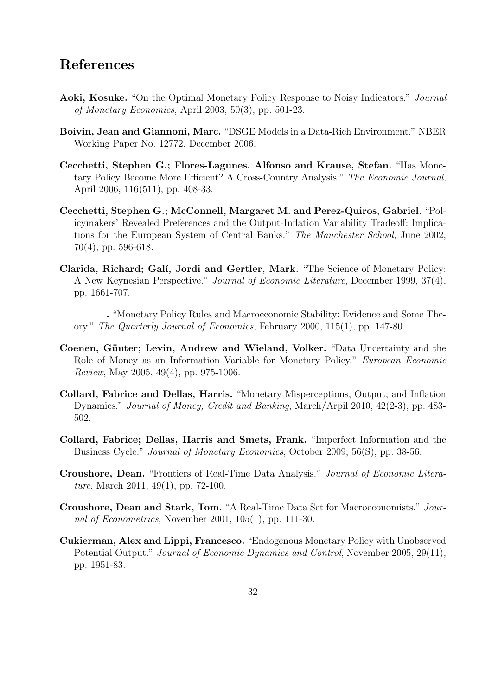### References

- Aoki, Kosuke. "On the Optimal Monetary Policy Response to Noisy Indicators." Journal of Monetary Economics, April 2003, 50(3), pp. 501-23.
- Boivin, Jean and Giannoni, Marc. "DSGE Models in a Data-Rich Environment." NBER Working Paper No. 12772, December 2006.
- Cecchetti, Stephen G.; Flores-Lagunes, Alfonso and Krause, Stefan. "Has Monetary Policy Become More Efficient? A Cross-Country Analysis." The Economic Journal, April 2006, 116(511), pp. 408-33.
- Cecchetti, Stephen G.; McConnell, Margaret M. and Perez-Quiros, Gabriel. "Policymakers' Revealed Preferences and the Output-Inflation Variability Tradeoff: Implications for the European System of Central Banks." The Manchester School, June 2002, 70(4), pp. 596-618.
- Clarida, Richard; Galí, Jordi and Gertler, Mark. "The Science of Monetary Policy: A New Keynesian Perspective." Journal of Economic Literature, December 1999, 37(4), pp. 1661-707.
	- . "Monetary Policy Rules and Macroeconomic Stability: Evidence and Some Theory." The Quarterly Journal of Economics, February 2000, 115(1), pp. 147-80.
- Coenen, Günter; Levin, Andrew and Wieland, Volker. "Data Uncertainty and the Role of Money as an Information Variable for Monetary Policy." European Economic Review, May 2005, 49(4), pp. 975-1006.
- Collard, Fabrice and Dellas, Harris. "Monetary Misperceptions, Output, and Inflation Dynamics." Journal of Money, Credit and Banking, March/Arpil 2010, 42(2-3), pp. 483- 502.
- Collard, Fabrice; Dellas, Harris and Smets, Frank. "Imperfect Information and the Business Cycle." Journal of Monetary Economics, October 2009, 56(S), pp. 38-56.
- Croushore, Dean. "Frontiers of Real-Time Data Analysis." Journal of Economic Literature, March 2011, 49(1), pp. 72-100.
- Croushore, Dean and Stark, Tom. "A Real-Time Data Set for Macroeconomists." Journal of Econometrics, November 2001, 105(1), pp. 111-30.
- Cukierman, Alex and Lippi, Francesco. "Endogenous Monetary Policy with Unobserved Potential Output." *Journal of Economic Dynamics and Control*, November 2005, 29(11), pp. 1951-83.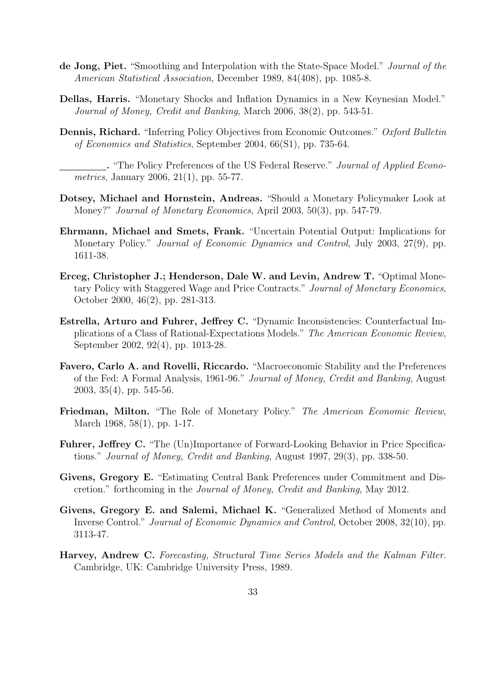- de Jong, Piet. "Smoothing and Interpolation with the State-Space Model." Journal of the American Statistical Association, December 1989, 84(408), pp. 1085-8.
- Dellas, Harris. "Monetary Shocks and Inflation Dynamics in a New Keynesian Model." Journal of Money, Credit and Banking, March 2006, 38(2), pp. 543-51.
- Dennis, Richard. "Inferring Policy Objectives from Economic Outcomes." Oxford Bulletin of Economics and Statistics, September 2004, 66(S1), pp. 735-64.

. "The Policy Preferences of the US Federal Reserve." Journal of Applied Econometrics, January 2006, 21(1), pp. 55-77.

- Dotsey, Michael and Hornstein, Andreas. "Should a Monetary Policymaker Look at Money?" Journal of Monetary Economics, April 2003, 50(3), pp. 547-79.
- Ehrmann, Michael and Smets, Frank. "Uncertain Potential Output: Implications for Monetary Policy." Journal of Economic Dynamics and Control, July 2003, 27(9), pp. 1611-38.
- Erceg, Christopher J.; Henderson, Dale W. and Levin, Andrew T. "Optimal Monetary Policy with Staggered Wage and Price Contracts." Journal of Monetary Economics, October 2000, 46(2), pp. 281-313.
- Estrella, Arturo and Fuhrer, Jeffrey C. "Dynamic Inconsistencies: Counterfactual Implications of a Class of Rational-Expectations Models." The American Economic Review, September 2002, 92(4), pp. 1013-28.
- Favero, Carlo A. and Rovelli, Riccardo. "Macroeconomic Stability and the Preferences of the Fed: A Formal Analysis, 1961-96." Journal of Money, Credit and Banking, August 2003, 35(4), pp. 545-56.
- Friedman, Milton. "The Role of Monetary Policy." The American Economic Review, March 1968, 58(1), pp. 1-17.
- Fuhrer, Jeffrey C. "The (Un)Importance of Forward-Looking Behavior in Price Specifications." Journal of Money, Credit and Banking, August 1997, 29(3), pp. 338-50.
- Givens, Gregory E. "Estimating Central Bank Preferences under Commitment and Discretion." forthcoming in the Journal of Money, Credit and Banking, May 2012.
- Givens, Gregory E. and Salemi, Michael K. "Generalized Method of Moments and Inverse Control." Journal of Economic Dynamics and Control, October 2008, 32(10), pp. 3113-47.
- Harvey, Andrew C. Forecasting, Structural Time Series Models and the Kalman Filter. Cambridge, UK: Cambridge University Press, 1989.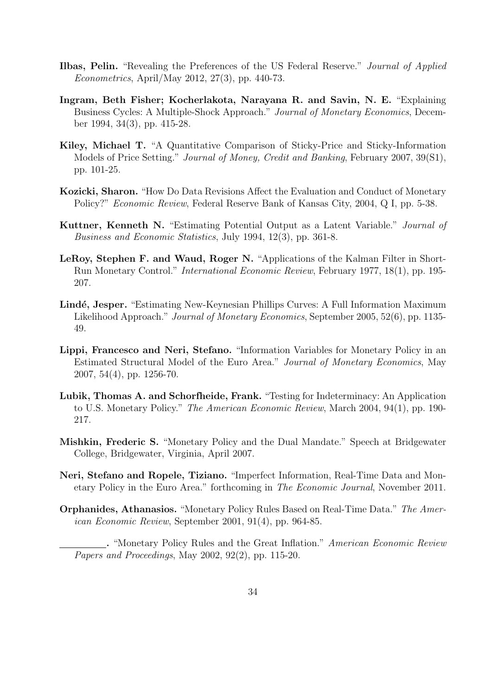- Ilbas, Pelin. "Revealing the Preferences of the US Federal Reserve." Journal of Applied Econometrics, April/May 2012, 27(3), pp. 440-73.
- Ingram, Beth Fisher; Kocherlakota, Narayana R. and Savin, N. E. "Explaining Business Cycles: A Multiple-Shock Approach." Journal of Monetary Economics, December 1994, 34(3), pp. 415-28.
- Kiley, Michael T. "A Quantitative Comparison of Sticky-Price and Sticky-Information Models of Price Setting." Journal of Money, Credit and Banking, February 2007, 39(S1), pp. 101-25.
- Kozicki, Sharon. "How Do Data Revisions Affect the Evaluation and Conduct of Monetary Policy?" Economic Review, Federal Reserve Bank of Kansas City, 2004, Q I, pp. 5-38.
- Kuttner, Kenneth N. "Estimating Potential Output as a Latent Variable." Journal of Business and Economic Statistics, July 1994, 12(3), pp. 361-8.
- LeRoy, Stephen F. and Waud, Roger N. "Applications of the Kalman Filter in Short-Run Monetary Control." International Economic Review, February 1977, 18(1), pp. 195- 207.
- Lindé, Jesper. "Estimating New-Keynesian Phillips Curves: A Full Information Maximum Likelihood Approach." Journal of Monetary Economics, September 2005, 52(6), pp. 1135- 49.
- Lippi, Francesco and Neri, Stefano. "Information Variables for Monetary Policy in an Estimated Structural Model of the Euro Area." Journal of Monetary Economics, May 2007, 54(4), pp. 1256-70.
- Lubik, Thomas A. and Schorfheide, Frank. "Testing for Indeterminacy: An Application to U.S. Monetary Policy." The American Economic Review, March 2004, 94(1), pp. 190- 217.
- Mishkin, Frederic S. "Monetary Policy and the Dual Mandate." Speech at Bridgewater College, Bridgewater, Virginia, April 2007.
- Neri, Stefano and Ropele, Tiziano. "Imperfect Information, Real-Time Data and Monetary Policy in the Euro Area." forthcoming in The Economic Journal, November 2011.
- Orphanides, Athanasios. "Monetary Policy Rules Based on Real-Time Data." The American Economic Review, September 2001, 91(4), pp. 964-85.

. "Monetary Policy Rules and the Great Inflation." American Economic Review Papers and Proceedings, May 2002, 92(2), pp. 115-20.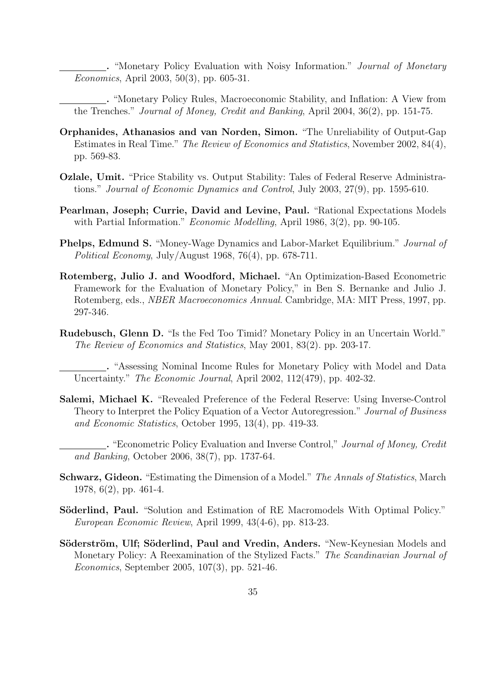. "Monetary Policy Evaluation with Noisy Information." Journal of Monetary Economics, April 2003, 50(3), pp. 605-31.

. "Monetary Policy Rules, Macroeconomic Stability, and Inflation: A View from the Trenches." Journal of Money, Credit and Banking, April 2004, 36(2), pp. 151-75.

- Orphanides, Athanasios and van Norden, Simon. "The Unreliability of Output-Gap Estimates in Real Time." The Review of Economics and Statistics, November 2002, 84(4), pp. 569-83.
- Ozlale, Umit. "Price Stability vs. Output Stability: Tales of Federal Reserve Administrations." Journal of Economic Dynamics and Control, July 2003, 27(9), pp. 1595-610.
- Pearlman, Joseph; Currie, David and Levine, Paul. "Rational Expectations Models with Partial Information." *Economic Modelling*, April 1986, 3(2), pp. 90-105.
- Phelps, Edmund S. "Money-Wage Dynamics and Labor-Market Equilibrium." Journal of Political Economy, July/August 1968, 76(4), pp. 678-711.
- Rotemberg, Julio J. and Woodford, Michael. "An Optimization-Based Econometric Framework for the Evaluation of Monetary Policy," in Ben S. Bernanke and Julio J. Rotemberg, eds., NBER Macroeconomics Annual. Cambridge, MA: MIT Press, 1997, pp. 297-346.
- Rudebusch, Glenn D. "Is the Fed Too Timid? Monetary Policy in an Uncertain World." The Review of Economics and Statistics, May 2001, 83(2). pp. 203-17.

. "Assessing Nominal Income Rules for Monetary Policy with Model and Data Uncertainty." The Economic Journal, April 2002, 112(479), pp. 402-32.

- Salemi, Michael K. "Revealed Preference of the Federal Reserve: Using Inverse-Control Theory to Interpret the Policy Equation of a Vector Autoregression." Journal of Business and Economic Statistics, October 1995, 13(4), pp. 419-33.
	- . "Econometric Policy Evaluation and Inverse Control," Journal of Money, Credit and Banking, October 2006, 38(7), pp. 1737-64.
- Schwarz, Gideon. "Estimating the Dimension of a Model." The Annals of Statistics, March 1978, 6(2), pp. 461-4.
- Söderlind, Paul. "Solution and Estimation of RE Macromodels With Optimal Policy." European Economic Review, April 1999, 43(4-6), pp. 813-23.
- Söderström, Ulf; Söderlind, Paul and Vredin, Anders. "New-Keynesian Models and Monetary Policy: A Reexamination of the Stylized Facts." The Scandinavian Journal of Economics, September 2005, 107(3), pp. 521-46.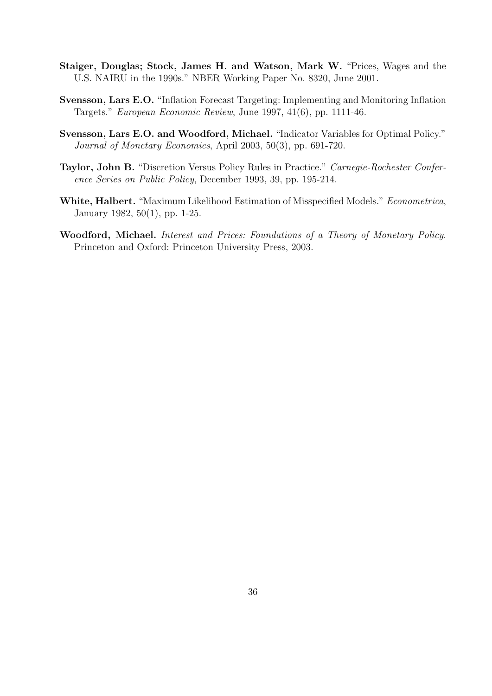- Staiger, Douglas; Stock, James H. and Watson, Mark W. "Prices, Wages and the U.S. NAIRU in the 1990s." NBER Working Paper No. 8320, June 2001.
- Svensson, Lars E.O. "Inflation Forecast Targeting: Implementing and Monitoring Inflation Targets." European Economic Review, June 1997, 41(6), pp. 1111-46.
- Svensson, Lars E.O. and Woodford, Michael. "Indicator Variables for Optimal Policy." Journal of Monetary Economics, April 2003, 50(3), pp. 691-720.
- Taylor, John B. "Discretion Versus Policy Rules in Practice." Carnegie-Rochester Conference Series on Public Policy, December 1993, 39, pp. 195-214.
- White, Halbert. "Maximum Likelihood Estimation of Misspecified Models." Econometrica, January 1982, 50(1), pp. 1-25.
- Woodford, Michael. Interest and Prices: Foundations of a Theory of Monetary Policy. Princeton and Oxford: Princeton University Press, 2003.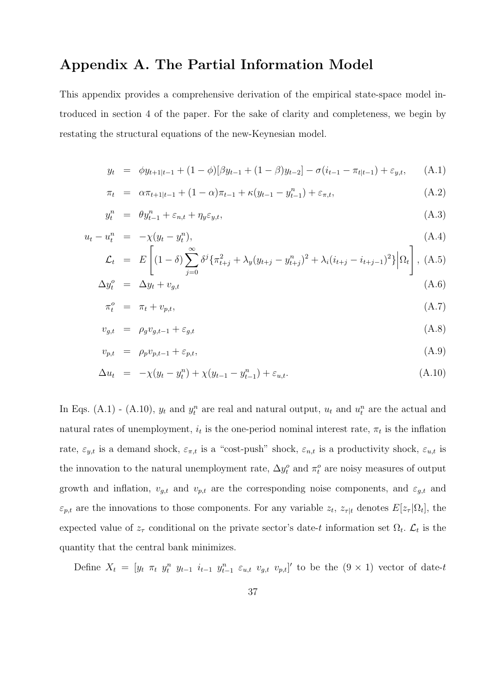### Appendix A. The Partial Information Model

This appendix provides a comprehensive derivation of the empirical state-space model introduced in section 4 of the paper. For the sake of clarity and completeness, we begin by restating the structural equations of the new-Keynesian model.

$$
y_t = \phi y_{t+1|t-1} + (1-\phi)[\beta y_{t-1} + (1-\beta)y_{t-2}] - \sigma(i_{t-1} - \pi_{t|t-1}) + \varepsilon_{y,t}, \quad (A.1)
$$

$$
\pi_t = \alpha \pi_{t+1|t-1} + (1 - \alpha) \pi_{t-1} + \kappa (y_{t-1} - y_{t-1}^n) + \varepsilon_{\pi, t}, \tag{A.2}
$$

$$
y_t^n = \theta y_{t-1}^n + \varepsilon_{n,t} + \eta_y \varepsilon_{y,t}, \tag{A.3}
$$

$$
u_t - u_t^n = -\chi(y_t - y_t^n), \tag{A.4}
$$

$$
\mathcal{L}_t = E\left[ (1-\delta) \sum_{j=0}^{\infty} \delta^j \{ \pi_{t+j}^2 + \lambda_y (y_{t+j} - y_{t+j}^n)^2 + \lambda_i (i_{t+j} - i_{t+j-1})^2 \} \Big| \Omega_t \right], \text{(A.5)}
$$

$$
\Delta y_t^o = \Delta y_t + v_{g,t} \tag{A.6}
$$

$$
\pi_t^o = \pi_t + v_{p,t},\tag{A.7}
$$

$$
v_{g,t} = \rho_g v_{g,t-1} + \varepsilon_{g,t} \tag{A.8}
$$

$$
v_{p,t} = \rho_p v_{p,t-1} + \varepsilon_{p,t}, \tag{A.9}
$$

$$
\Delta u_t = -\chi(y_t - y_t^n) + \chi(y_{t-1} - y_{t-1}^n) + \varepsilon_{u,t}.
$$
\n(A.10)

In Eqs. (A.1) - (A.10),  $y_t$  and  $y_t^n$  are real and natural output,  $u_t$  and  $u_t^n$  are the actual and natural rates of unemployment,  $i_t$  is the one-period nominal interest rate,  $\pi_t$  is the inflation rate,  $\varepsilon_{y,t}$  is a demand shock,  $\varepsilon_{\pi,t}$  is a "cost-push" shock,  $\varepsilon_{n,t}$  is a productivity shock,  $\varepsilon_{u,t}$  is the innovation to the natural unemployment rate,  $\Delta y_t^o$  and  $\pi_t^o$  are noisy measures of output growth and inflation,  $v_{g,t}$  and  $v_{p,t}$  are the corresponding noise components, and  $\varepsilon_{g,t}$  and  $\varepsilon_{p,t}$  are the innovations to those components. For any variable  $z_t$ ,  $z_{\tau|t}$  denotes  $E[z_{\tau}|\Omega_t]$ , the expected value of  $z<sub>\tau</sub>$  conditional on the private sector's date-t information set  $\Omega_t$ .  $\mathcal{L}_t$  is the quantity that the central bank minimizes.

Define  $X_t = [y_t \ \pi_t \ y_t^n \ y_{t-1} \ i_{t-1} \ y_{t-1}^n \ \varepsilon_{u,t} \ v_{g,t} \ v_{p,t}]'$  to be the  $(9 \times 1)$  vector of date-t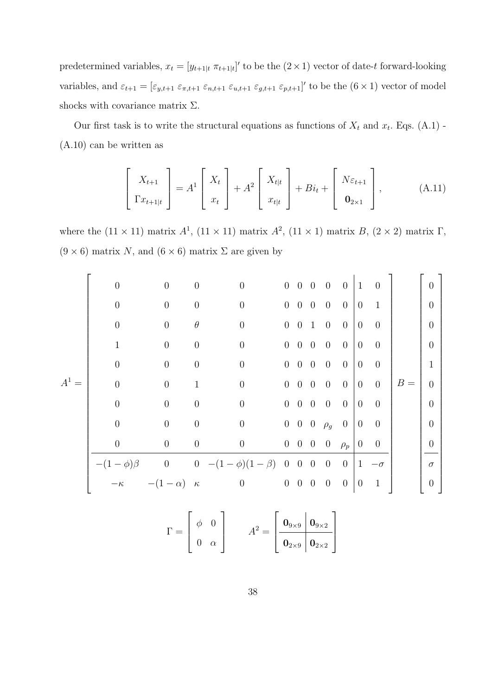predetermined variables,  $x_t = [y_{t+1|t} \pi_{t+1|t}]'$  to be the  $(2 \times 1)$  vector of date-t forward-looking variables, and  $\varepsilon_{t+1} = [\varepsilon_{y,t+1} \varepsilon_{\pi,t+1} \varepsilon_{n,t+1} \varepsilon_{u,t+1} \varepsilon_{g,t+1} \varepsilon_{p,t+1}]'$  to be the  $(6 \times 1)$  vector of model shocks with covariance matrix  $\Sigma$ .

Our first task is to write the structural equations as functions of  $X_t$  and  $x_t$ . Eqs. (A.1) -(A.10) can be written as

$$
\begin{bmatrix} X_{t+1} \\ \Gamma x_{t+1|t} \end{bmatrix} = A^1 \begin{bmatrix} X_t \\ x_t \end{bmatrix} + A^2 \begin{bmatrix} X_{t|t} \\ x_{t|t} \end{bmatrix} + Bi_t + \begin{bmatrix} N\varepsilon_{t+1} \\ \mathbf{0}_{2\times 1} \end{bmatrix}, \tag{A.11}
$$

where the  $(11 \times 11)$  matrix  $A^1$ ,  $(11 \times 11)$  matrix  $A^2$ ,  $(11 \times 1)$  matrix  $B$ ,  $(2 \times 2)$  matrix  $\Gamma$ ,  $(9 \times 6)$  matrix N, and  $(6 \times 6)$  matrix  $\Sigma$  are given by

|         | $\overline{0}$ | $\theta$            | $\theta$         | $\overline{0}$                                  |                | $0 \quad 0 \quad 0$    | $\overline{0}$                                  | $\overline{0}$ | $\vert 1 \vert$                       | $\overline{0}$     |            | $\theta$       |  |
|---------|----------------|---------------------|------------------|-------------------------------------------------|----------------|------------------------|-------------------------------------------------|----------------|---------------------------------------|--------------------|------------|----------------|--|
|         | $\overline{0}$ | $\theta$            | $\theta$         | $\overline{0}$                                  | $\overline{0}$ | $0\quad 0$             | $\overline{0}$                                  | $\overline{0}$ | $\overline{0}$                        | $\mathbf{1}$       |            | $\overline{0}$ |  |
|         | $\overline{0}$ | $\overline{0}$      | $\theta$         | $\boldsymbol{0}$                                |                | $0 \quad 0 \quad 1$    | $\overline{0}$                                  | $\overline{0}$ | $\overline{0}$                        | $\overline{0}$     |            | $\overline{0}$ |  |
|         |                | $\theta$            | $\theta$         | $\overline{0}$                                  |                | $0 \quad 0 \quad 0$    | $\overline{0}$                                  | $\overline{0}$ | $\overline{0}$                        | $\overline{0}$     |            | $\overline{0}$ |  |
|         | $\theta$       | $\overline{0}$      | $\theta$         | $\overline{0}$                                  |                | $0\quad 0\quad 0\quad$ | $\overline{0}$                                  | $\overline{0}$ | $\overline{0}$                        | $\overline{0}$     |            | $\mathbf{1}$   |  |
| $A^1 =$ | $\Omega$       | $\theta$            | 1                | $\boldsymbol{0}$                                |                | $0 \quad 0 \quad 0$    | $\overline{0}$                                  | $\overline{0}$ | $\begin{bmatrix} 0 & 0 \end{bmatrix}$ |                    | $\mid B =$ | $\theta$       |  |
|         | $\overline{0}$ | $\overline{0}$      | $\overline{0}$   | $\boldsymbol{0}$                                |                | $0 \quad 0 \quad 0$    | $\overline{0}$                                  | $\overline{0}$ | $\overline{0}$                        | $\overline{0}$     |            | $\overline{0}$ |  |
|         | $\overline{0}$ | $\boldsymbol{0}$    | $\boldsymbol{0}$ | $\boldsymbol{0}$                                |                |                        | $0 \quad 0 \quad 0 \quad \rho_g \quad 0 \mid 0$ |                |                                       | $\overline{0}$     |            | $\theta$       |  |
|         | $\theta$       | $\boldsymbol{0}$    | $\boldsymbol{0}$ | $\boldsymbol{0}$                                |                |                        | $0 \quad 0 \quad 0 \quad 0 \quad \rho_p \mid 0$ |                |                                       | $\overline{0}$     |            | $\theta$       |  |
|         |                |                     |                  | $-(1-\phi)\beta$ 0 0 $-(1-\phi)(1-\beta)$ 0 0 0 |                |                        | $\overline{0}$                                  |                |                                       | $0 \mid 1 -\sigma$ |            | $\sigma$       |  |
|         | $-\kappa$      | $-(1-\alpha)\kappa$ |                  | $\begin{matrix} 0 & 0 & 0 & 0 & 0 \end{matrix}$ |                |                        |                                                 | $\overline{0}$ | $\overline{0}$                        | $\mathbf{1}$       |            | $\theta$       |  |
|         |                |                     |                  |                                                 |                |                        |                                                 |                |                                       |                    |            |                |  |

$$
\Gamma = \begin{bmatrix} \phi & 0 \\ 0 & \alpha \end{bmatrix} \qquad A^2 = \begin{bmatrix} \mathbf{0}_{9 \times 9} & \mathbf{0}_{9 \times 2} \\ \mathbf{0}_{2 \times 9} & \mathbf{0}_{2 \times 2} \end{bmatrix}
$$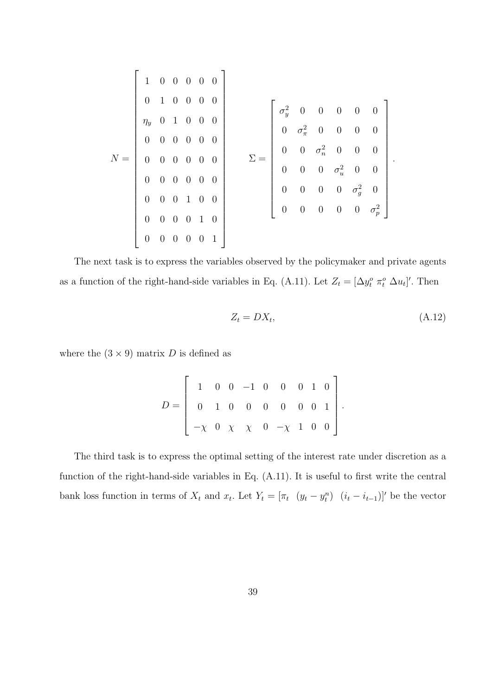|  | 1 0 0 0 0 0                                                                                           |  |  |  |  |                                                                                                                                                                                                                                                                    |  |  |  |  |
|--|-------------------------------------------------------------------------------------------------------|--|--|--|--|--------------------------------------------------------------------------------------------------------------------------------------------------------------------------------------------------------------------------------------------------------------------|--|--|--|--|
|  | $\begin{array}{ ccc } 0 & 1 & 0 & 0 & 0 & 0 \end{array}$                                              |  |  |  |  |                                                                                                                                                                                                                                                                    |  |  |  |  |
|  | $\eta_y$ 0 1 0 0 0                                                                                    |  |  |  |  |                                                                                                                                                                                                                                                                    |  |  |  |  |
|  |                                                                                                       |  |  |  |  |                                                                                                                                                                                                                                                                    |  |  |  |  |
|  | $\begin{array}{ccccccccc}\n0 & 0 & 0 & 0 & 0 & 0\n\end{array}$                                        |  |  |  |  |                                                                                                                                                                                                                                                                    |  |  |  |  |
|  | $N = \left[ \begin{array}{ccccccc} 0 & 0 & 0 & 0 & 0 & 0 \ 0 & 0 & 0 & 0 & 0 & 0 \end{array} \right]$ |  |  |  |  | $\Sigma = \left[ \begin{array}{cccccc} \sigma_y^2 & 0 & 0 & 0 & 0 & 0 \ 0 & \sigma_\pi^2 & 0 & 0 & 0 & 0 \ 0 & 0 & \sigma_n^2 & 0 & 0 & 0 \ 0 & 0 & 0 & \sigma_u^2 & 0 & 0 \ 0 & 0 & 0 & 0 & \sigma_g^2 & 0 \ 0 & 0 & 0 & 0 & 0 & \sigma_p^2 \end{array} \right].$ |  |  |  |  |
|  |                                                                                                       |  |  |  |  |                                                                                                                                                                                                                                                                    |  |  |  |  |
|  |                                                                                                       |  |  |  |  |                                                                                                                                                                                                                                                                    |  |  |  |  |
|  | $\begin{array}{ ccc } 0 & 0 & 0 & 1 & 0 & 0 \end{array}$                                              |  |  |  |  |                                                                                                                                                                                                                                                                    |  |  |  |  |
|  |                                                                                                       |  |  |  |  |                                                                                                                                                                                                                                                                    |  |  |  |  |
|  | $\begin{array}{ ccc } 0 & 0 & 0 & 0 & 1 & 0 \end{array}$                                              |  |  |  |  |                                                                                                                                                                                                                                                                    |  |  |  |  |
|  |                                                                                                       |  |  |  |  |                                                                                                                                                                                                                                                                    |  |  |  |  |
|  | $\begin{pmatrix} 0 & 0 & 0 & 0 & 0 & 1 \end{pmatrix}$                                                 |  |  |  |  |                                                                                                                                                                                                                                                                    |  |  |  |  |

The next task is to express the variables observed by the policymaker and private agents as a function of the right-hand-side variables in Eq. (A.11). Let  $Z_t = [\Delta y_t^o \ \pi_t^o \ \Delta u_t]'$ . Then

$$
Z_t = DX_t,\tag{A.12}
$$

where the  $(3 \times 9)$  matrix D is defined as

$$
D = \left[ \begin{array}{cccccc} 1 & 0 & 0 & -1 & 0 & 0 & 0 & 1 & 0 \\ 0 & 1 & 0 & 0 & 0 & 0 & 0 & 0 & 1 \\ -\chi & 0 & \chi & \chi & 0 & -\chi & 1 & 0 & 0 \end{array} \right].
$$

The third task is to express the optimal setting of the interest rate under discretion as a function of the right-hand-side variables in Eq. (A.11). It is useful to first write the central bank loss function in terms of  $X_t$  and  $x_t$ . Let  $Y_t = [\pi_t \ (y_t - y_t^n) \ (i_t - i_{t-1})]'$  be the vector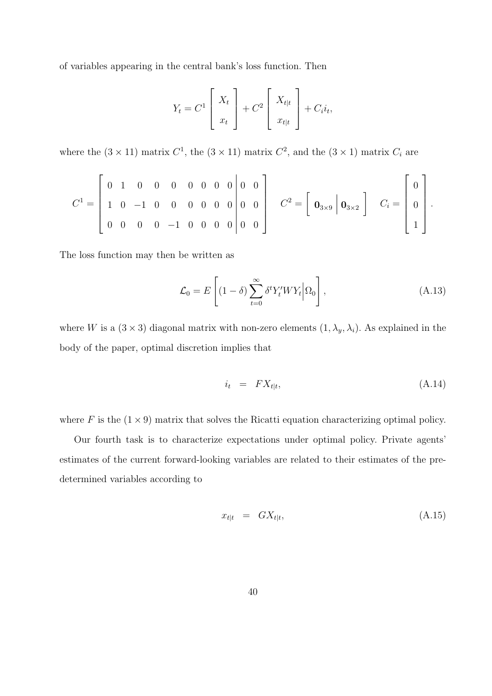of variables appearing in the central bank's loss function. Then

$$
Y_t = C^1 \left[ \begin{array}{c} X_t \\ x_t \end{array} \right] + C^2 \left[ \begin{array}{c} X_{t|t} \\ x_{t|t} \end{array} \right] + C_i i_t,
$$

where the  $(3 \times 11)$  matrix  $C^1$ , the  $(3 \times 11)$  matrix  $C^2$ , and the  $(3 \times 1)$  matrix  $C_i$  are

$$
C^{1} = \begin{bmatrix} 0 & 1 & 0 & 0 & 0 & 0 & 0 & 0 & 0 \\ 1 & 0 & -1 & 0 & 0 & 0 & 0 & 0 & 0 \\ 0 & 0 & 0 & 0 & -1 & 0 & 0 & 0 & 0 \\ 0 & 0 & 0 & 0 & -1 & 0 & 0 & 0 & 0 \end{bmatrix} \quad C^{2} = \begin{bmatrix} 0 \\ 0 \\ 0 \\ 0 \end{bmatrix}.
$$

The loss function may then be written as

$$
\mathcal{L}_0 = E\left[ (1 - \delta) \sum_{t=0}^{\infty} \delta^t Y_t' W Y_t \middle| \Omega_0 \right], \tag{A.13}
$$

where W is a  $(3 \times 3)$  diagonal matrix with non-zero elements  $(1, \lambda_y, \lambda_i)$ . As explained in the body of the paper, optimal discretion implies that

$$
i_t = FX_{t|t}, \tag{A.14}
$$

where F is the  $(1 \times 9)$  matrix that solves the Ricatti equation characterizing optimal policy.

Our fourth task is to characterize expectations under optimal policy. Private agents' estimates of the current forward-looking variables are related to their estimates of the predetermined variables according to

$$
x_{t|t} = GX_{t|t}, \tag{A.15}
$$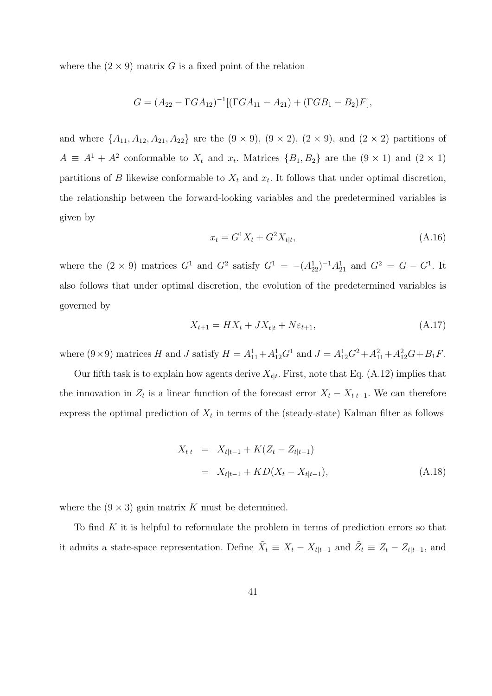where the  $(2 \times 9)$  matrix G is a fixed point of the relation

$$
G = (A_{22} - \Gamma G A_{12})^{-1} [(\Gamma G A_{11} - A_{21}) + (\Gamma G B_1 - B_2) F],
$$

and where  $\{A_{11}, A_{12}, A_{21}, A_{22}\}$  are the  $(9 \times 9)$ ,  $(9 \times 2)$ ,  $(2 \times 9)$ , and  $(2 \times 2)$  partitions of  $A \equiv A^1 + A^2$  conformable to  $X_t$  and  $x_t$ . Matrices  $\{B_1, B_2\}$  are the  $(9 \times 1)$  and  $(2 \times 1)$ partitions of B likewise conformable to  $X_t$  and  $x_t$ . It follows that under optimal discretion, the relationship between the forward-looking variables and the predetermined variables is given by

$$
x_t = G^1 X_t + G^2 X_{t|t},\tag{A.16}
$$

where the  $(2 \times 9)$  matrices  $G^1$  and  $G^2$  satisfy  $G^1 = -(A_{22}^1)^{-1}A_{21}^1$  and  $G^2 = G - G^1$ . It also follows that under optimal discretion, the evolution of the predetermined variables is governed by

$$
X_{t+1} = HX_t + JX_{t|t} + N\varepsilon_{t+1},\tag{A.17}
$$

where  $(9 \times 9)$  matrices H and J satisfy  $H = A_{11}^1 + A_{12}^1 G^1$  and  $J = A_{12}^1 G^2 + A_{11}^2 + A_{12}^2 G + B_1 F$ .

Our fifth task is to explain how agents derive  $X_{t|t}$ . First, note that Eq. (A.12) implies that the innovation in  $Z_t$  is a linear function of the forecast error  $X_t - X_{t|t-1}$ . We can therefore express the optimal prediction of  $X_t$  in terms of the (steady-state) Kalman filter as follows

$$
X_{t|t} = X_{t|t-1} + K(Z_t - Z_{t|t-1})
$$
  
=  $X_{t|t-1} + KD(X_t - X_{t|t-1}),$  (A.18)

where the  $(9 \times 3)$  gain matrix K must be determined.

To find  $K$  it is helpful to reformulate the problem in terms of prediction errors so that it admits a state-space representation. Define  $\tilde{X}_t \equiv X_t - X_{t|t-1}$  and  $\tilde{Z}_t \equiv Z_t - Z_{t|t-1}$ , and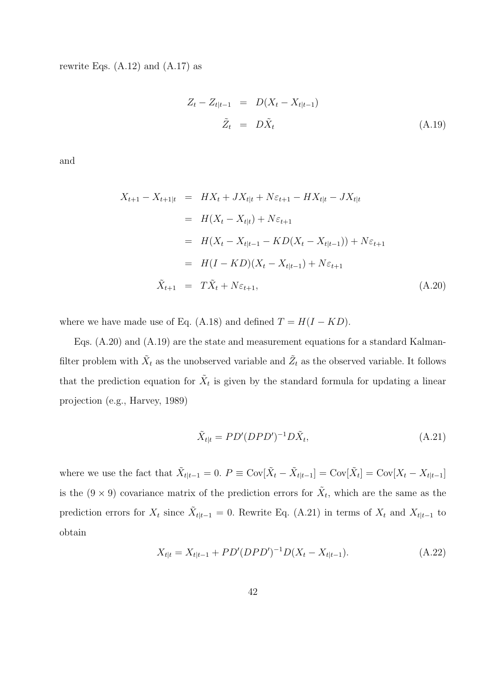rewrite Eqs.  $(A.12)$  and  $(A.17)$  as

$$
Z_t - Z_{t|t-1} = D(X_t - X_{t|t-1})
$$
  

$$
\tilde{Z}_t = D\tilde{X}_t
$$
 (A.19)

and

$$
X_{t+1} - X_{t+1|t} = HX_t + JX_{t|t} + N\varepsilon_{t+1} - HX_{t|t} - JX_{t|t}
$$
  
\n
$$
= H(X_t - X_{t|t}) + N\varepsilon_{t+1}
$$
  
\n
$$
= H(X_t - X_{t|t-1} - KD(X_t - X_{t|t-1})) + N\varepsilon_{t+1}
$$
  
\n
$$
= H(I - KD)(X_t - X_{t|t-1}) + N\varepsilon_{t+1}
$$
  
\n
$$
\tilde{X}_{t+1} = T\tilde{X}_t + N\varepsilon_{t+1},
$$
\n(A.20)

where we have made use of Eq. (A.18) and defined  $T = H(I - KD)$ .

Eqs. (A.20) and (A.19) are the state and measurement equations for a standard Kalmanfilter problem with  $\tilde{X}_t$  as the unobserved variable and  $\tilde{Z}_t$  as the observed variable. It follows that the prediction equation for  $\tilde{X}_t$  is given by the standard formula for updating a linear projection (e.g., Harvey, 1989)

$$
\tilde{X}_{t|t} = PD'(DPD')^{-1}D\tilde{X}_t,\tag{A.21}
$$

where we use the fact that  $\tilde{X}_{t|t-1} = 0$ .  $P \equiv Cov[\tilde{X}_t - \tilde{X}_{t|t-1}] = Cov[\tilde{X}_t] = Cov[X_t - X_{t|t-1}]$ is the  $(9 \times 9)$  covariance matrix of the prediction errors for  $\tilde{X}_t$ , which are the same as the prediction errors for  $X_t$  since  $\tilde{X}_{t|t-1} = 0$ . Rewrite Eq. (A.21) in terms of  $X_t$  and  $X_{t|t-1}$  to obtain

$$
X_{t|t} = X_{t|t-1} + PD'(DPD')^{-1}D(X_t - X_{t|t-1}).
$$
\n(A.22)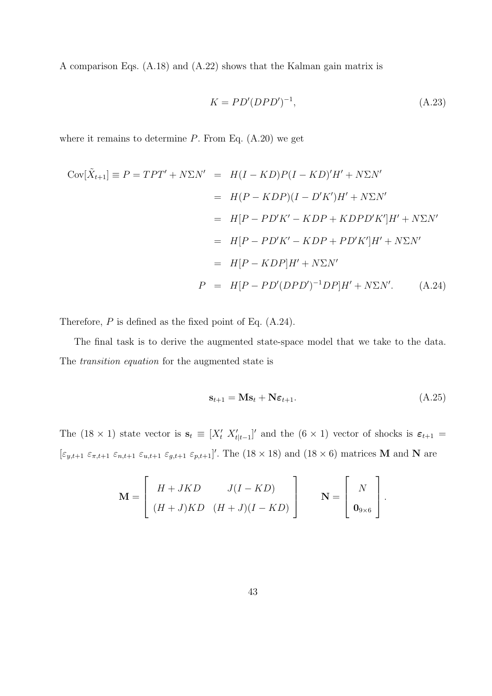A comparison Eqs. (A.18) and (A.22) shows that the Kalman gain matrix is

$$
K = PD'(DPD')^{-1},\tag{A.23}
$$

where it remains to determine  $P$ . From Eq.  $(A.20)$  we get

$$
Cov[\tilde{X}_{t+1}] \equiv P = TPT' + N\Sigma N' = H(I - KD)P(I - KD)'H' + N\Sigma N'
$$
  
\n
$$
= H(P - KDP)(I - D'K')H' + N\Sigma N'
$$
  
\n
$$
= H[P - PD'K' - KDP + KDPD'K']H' + N\Sigma N'
$$
  
\n
$$
= H[P - PD'K' - KDP + PD'K']H' + N\Sigma N'
$$
  
\n
$$
= H[P - KDP]H' + N\Sigma N'
$$
  
\n
$$
P = H[P - PD'(DPD')^{-1}DP]H' + N\Sigma N'.
$$
 (A.24)

Therefore,  $P$  is defined as the fixed point of Eq.  $(A.24)$ .

The final task is to derive the augmented state-space model that we take to the data. The transition equation for the augmented state is

$$
\mathbf{s}_{t+1} = \mathbf{M}\mathbf{s}_t + \mathbf{N}\boldsymbol{\varepsilon}_{t+1}.\tag{A.25}
$$

The (18 × 1) state vector is  $\mathbf{s}_t \equiv [X'_t \ X'_{t|t-1}]'$  and the (6 × 1) vector of shocks is  $\varepsilon_{t+1}$  =  $[\varepsilon_{y,t+1} \varepsilon_{\pi,t+1} \varepsilon_{n,t+1} \varepsilon_{y,t+1} \varepsilon_{g,t+1} \varepsilon_{p,t+1}]'$ . The  $(18 \times 18)$  and  $(18 \times 6)$  matrices M and N are

$$
\mathbf{M} = \begin{bmatrix} H + JKD & J(I - KD) \\ (H + J)KD & (H + J)(I - KD) \end{bmatrix} \qquad \mathbf{N} = \begin{bmatrix} N \\ \mathbf{0}_{9 \times 6} \end{bmatrix}.
$$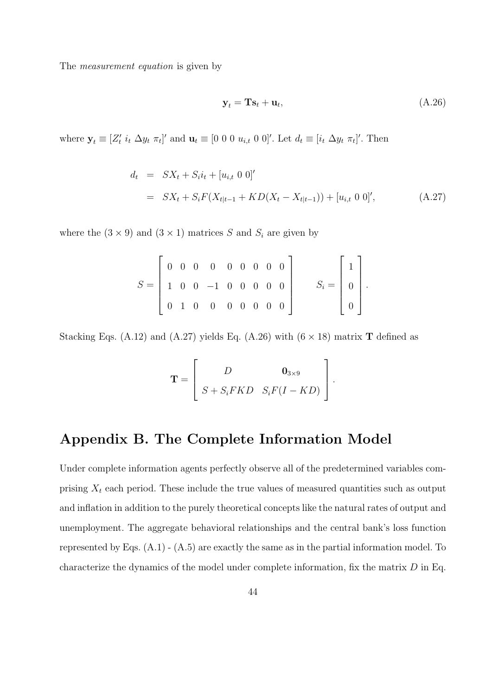The *measurement equation* is given by

$$
\mathbf{y}_t = \mathbf{T}\mathbf{s}_t + \mathbf{u}_t, \tag{A.26}
$$

where  $\mathbf{y}_t \equiv [Z'_t \; i_t \; \Delta y_t \; \pi_t]'$  and  $\mathbf{u}_t \equiv [0 \; 0 \; 0 \; u_{i,t} \; 0 \; 0]'$ . Let  $d_t \equiv [i_t \; \Delta y_t \; \pi_t]'$ . Then

$$
d_t = SX_t + S_i i_t + [u_{i,t} \ 0 \ 0]'
$$
  
= 
$$
SX_t + S_i F(X_{t|t-1} + KD(X_t - X_{t|t-1})) + [u_{i,t} \ 0 \ 0]',
$$
 (A.27)

where the  $(3 \times 9)$  and  $(3 \times 1)$  matrices S and  $S_i$  are given by

$$
S = \begin{bmatrix} 0 & 0 & 0 & 0 & 0 & 0 & 0 & 0 \\ 1 & 0 & 0 & -1 & 0 & 0 & 0 & 0 \\ 0 & 1 & 0 & 0 & 0 & 0 & 0 & 0 \end{bmatrix} \qquad S_i = \begin{bmatrix} 1 \\ 0 \\ 0 \end{bmatrix}.
$$

Stacking Eqs. (A.12) and (A.27) yields Eq. (A.26) with  $(6 \times 18)$  matrix **T** defined as

$$
\mathbf{T} = \left[ \begin{array}{cc} D & \mathbf{0}_{3 \times 9} \\ S + S_i F K D & S_i F (I - K D) \end{array} \right].
$$

### Appendix B. The Complete Information Model

Under complete information agents perfectly observe all of the predetermined variables comprising  $X_t$  each period. These include the true values of measured quantities such as output and inflation in addition to the purely theoretical concepts like the natural rates of output and unemployment. The aggregate behavioral relationships and the central bank's loss function represented by Eqs. (A.1) - (A.5) are exactly the same as in the partial information model. To characterize the dynamics of the model under complete information, fix the matrix D in Eq.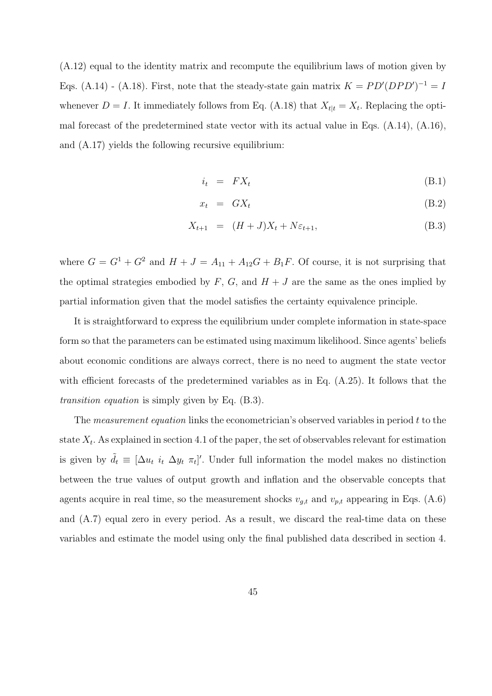(A.12) equal to the identity matrix and recompute the equilibrium laws of motion given by Eqs. (A.14) - (A.18). First, note that the steady-state gain matrix  $K = PD'(DPD')^{-1} = I$ whenever  $D = I$ . It immediately follows from Eq. (A.18) that  $X_{t|t} = X_t$ . Replacing the optimal forecast of the predetermined state vector with its actual value in Eqs. (A.14), (A.16), and (A.17) yields the following recursive equilibrium:

$$
i_t = FX_t \tag{B.1}
$$

$$
x_t = GX_t \tag{B.2}
$$

$$
X_{t+1} = (H+J)X_t + N\varepsilon_{t+1}, \tag{B.3}
$$

where  $G = G^1 + G^2$  and  $H + J = A_{11} + A_{12}G + B_1F$ . Of course, it is not surprising that the optimal strategies embodied by  $F, G$ , and  $H + J$  are the same as the ones implied by partial information given that the model satisfies the certainty equivalence principle.

It is straightforward to express the equilibrium under complete information in state-space form so that the parameters can be estimated using maximum likelihood. Since agents' beliefs about economic conditions are always correct, there is no need to augment the state vector with efficient forecasts of the predetermined variables as in Eq. (A.25). It follows that the transition equation is simply given by Eq. (B.3).

The measurement equation links the econometrician's observed variables in period t to the state  $X_t$ . As explained in section 4.1 of the paper, the set of observables relevant for estimation is given by  $\tilde{d}_t \equiv [\Delta u_t \, i_t \, \Delta y_t \, \pi_t]'$ . Under full information the model makes no distinction between the true values of output growth and inflation and the observable concepts that agents acquire in real time, so the measurement shocks  $v_{g,t}$  and  $v_{p,t}$  appearing in Eqs. (A.6) and (A.7) equal zero in every period. As a result, we discard the real-time data on these variables and estimate the model using only the final published data described in section 4.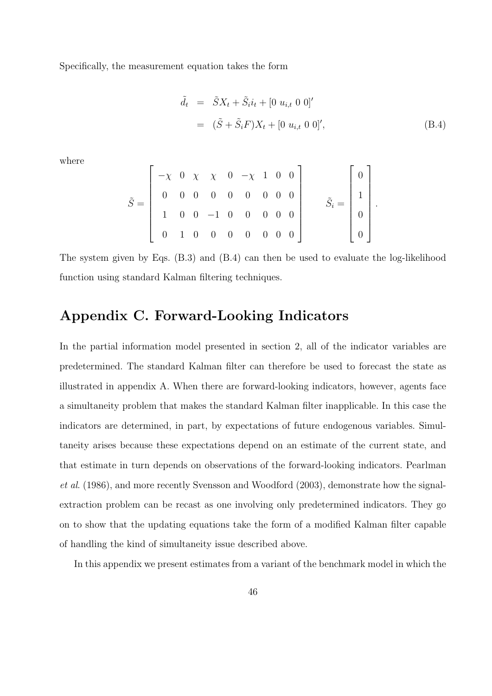Specifically, the measurement equation takes the form

$$
\tilde{d}_t = \tilde{S}X_t + \tilde{S}_i i_t + [0 u_{i,t} 0 0]'
$$
  
=  $(\tilde{S} + \tilde{S}_i F)X_t + [0 u_{i,t} 0 0]'$ , (B.4)

where

$$
\tilde{S} = \begin{bmatrix} -\chi & 0 & \chi & \chi & 0 & -\chi & 1 & 0 & 0 \\ 0 & 0 & 0 & 0 & 0 & 0 & 0 & 0 \\ 1 & 0 & 0 & -1 & 0 & 0 & 0 & 0 \\ 0 & 1 & 0 & 0 & 0 & 0 & 0 & 0 \end{bmatrix} \qquad \tilde{S}_i = \begin{bmatrix} 0 \\ 1 \\ 0 \\ 0 \end{bmatrix}.
$$

The system given by Eqs. (B.3) and (B.4) can then be used to evaluate the log-likelihood function using standard Kalman filtering techniques.

## Appendix C. Forward-Looking Indicators

In the partial information model presented in section 2, all of the indicator variables are predetermined. The standard Kalman filter can therefore be used to forecast the state as illustrated in appendix A. When there are forward-looking indicators, however, agents face a simultaneity problem that makes the standard Kalman filter inapplicable. In this case the indicators are determined, in part, by expectations of future endogenous variables. Simultaneity arises because these expectations depend on an estimate of the current state, and that estimate in turn depends on observations of the forward-looking indicators. Pearlman et al. (1986), and more recently Svensson and Woodford (2003), demonstrate how the signalextraction problem can be recast as one involving only predetermined indicators. They go on to show that the updating equations take the form of a modified Kalman filter capable of handling the kind of simultaneity issue described above.

In this appendix we present estimates from a variant of the benchmark model in which the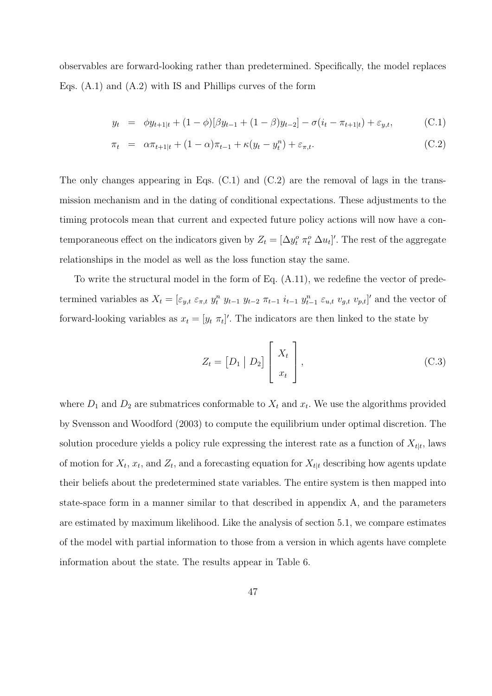observables are forward-looking rather than predetermined. Specifically, the model replaces Eqs. (A.1) and (A.2) with IS and Phillips curves of the form

$$
y_t = \phi y_{t+1|t} + (1 - \phi)[\beta y_{t-1} + (1 - \beta)y_{t-2}] - \sigma(i_t - \pi_{t+1|t}) + \varepsilon_{y,t},
$$
 (C.1)

$$
\pi_t = \alpha \pi_{t+1|t} + (1 - \alpha)\pi_{t-1} + \kappa(y_t - y_t^n) + \varepsilon_{\pi,t}.
$$
\n(C.2)

The only changes appearing in Eqs.  $(C.1)$  and  $(C.2)$  are the removal of lags in the transmission mechanism and in the dating of conditional expectations. These adjustments to the timing protocols mean that current and expected future policy actions will now have a contemporaneous effect on the indicators given by  $Z_t = [\Delta y_t^o \ \pi_t^o \ \Delta u_t]'$ . The rest of the aggregate relationships in the model as well as the loss function stay the same.

To write the structural model in the form of Eq. (A.11), we redefine the vector of predetermined variables as  $X_t = [\varepsilon_{y,t} \varepsilon_{\pi,t} y_t^n y_{t-1} y_{t-2} \pi_{t-1} i_{t-1} y_{t-1}^n \varepsilon_{u,t} v_{g,t} v_{p,t}]'$  and the vector of forward-looking variables as  $x_t = [y_t \; \pi_t]'$ . The indicators are then linked to the state by

$$
Z_t = \begin{bmatrix} D_1 & | & D_2 \end{bmatrix} \begin{bmatrix} X_t \\ x_t \end{bmatrix},\tag{C.3}
$$

where  $D_1$  and  $D_2$  are submatrices conformable to  $X_t$  and  $x_t$ . We use the algorithms provided by Svensson and Woodford (2003) to compute the equilibrium under optimal discretion. The solution procedure yields a policy rule expressing the interest rate as a function of  $X_{t|t}$ , laws of motion for  $X_t$ ,  $x_t$ , and  $Z_t$ , and a forecasting equation for  $X_{t|t}$  describing how agents update their beliefs about the predetermined state variables. The entire system is then mapped into state-space form in a manner similar to that described in appendix A, and the parameters are estimated by maximum likelihood. Like the analysis of section 5.1, we compare estimates of the model with partial information to those from a version in which agents have complete information about the state. The results appear in Table 6.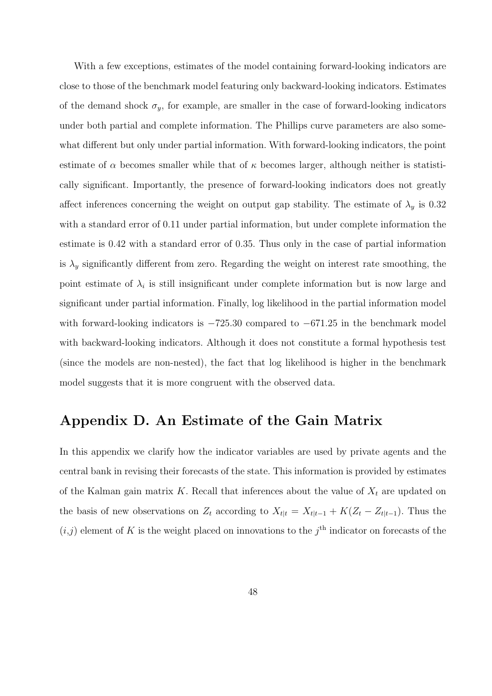With a few exceptions, estimates of the model containing forward-looking indicators are close to those of the benchmark model featuring only backward-looking indicators. Estimates of the demand shock  $\sigma_y$ , for example, are smaller in the case of forward-looking indicators under both partial and complete information. The Phillips curve parameters are also somewhat different but only under partial information. With forward-looking indicators, the point estimate of  $\alpha$  becomes smaller while that of  $\kappa$  becomes larger, although neither is statistically significant. Importantly, the presence of forward-looking indicators does not greatly affect inferences concerning the weight on output gap stability. The estimate of  $\lambda_y$  is 0.32 with a standard error of 0.11 under partial information, but under complete information the estimate is 0.42 with a standard error of 0.35. Thus only in the case of partial information is  $\lambda_y$  significantly different from zero. Regarding the weight on interest rate smoothing, the point estimate of  $\lambda_i$  is still insignificant under complete information but is now large and significant under partial information. Finally, log likelihood in the partial information model with forward-looking indicators is  $-725.30$  compared to  $-671.25$  in the benchmark model with backward-looking indicators. Although it does not constitute a formal hypothesis test (since the models are non-nested), the fact that log likelihood is higher in the benchmark model suggests that it is more congruent with the observed data.

### Appendix D. An Estimate of the Gain Matrix

In this appendix we clarify how the indicator variables are used by private agents and the central bank in revising their forecasts of the state. This information is provided by estimates of the Kalman gain matrix K. Recall that inferences about the value of  $X_t$  are updated on the basis of new observations on  $Z_t$  according to  $X_{t|t} = X_{t|t-1} + K(Z_t - Z_{t|t-1})$ . Thus the  $(i,j)$  element of K is the weight placed on innovations to the  $j<sup>th</sup>$  indicator on forecasts of the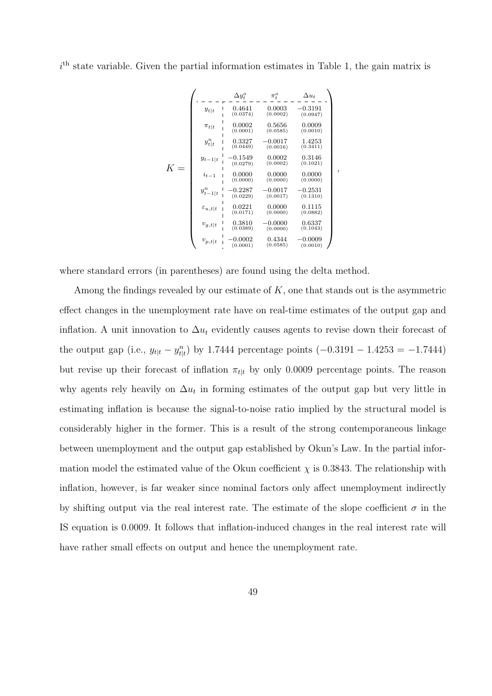$i<sup>th</sup>$  state variable. Given the partial information estimates in Table 1, the gain matrix is

$$
K = \begin{pmatrix}\n\cdot & \frac{\Delta y_i^0}{1} & -\frac{\Delta y_i^0}{1} & -\frac{\Delta u_i}{1} & -\frac{\Delta u_i}{1} \\
y_{t|t} & 0.4641 & 0.0003 & -0.3191 \\
1 & 0.00374 & 0.0002 & 0.0347\n\end{pmatrix}
$$
\n
$$
\pi_{t|t} = \begin{pmatrix}\n0.0002 & 0.5656 & 0.0009 \\
0.0001 & 0.0585 & 0.0009 \\
0.0001 & 0.0585 & 0.0009 \\
1 & 0.00449 & 0.0017 & 1.4253 \\
1 & 0.0449 & 0.0002 & 0.3146 \\
0.0279 & 0.0002 & 0.3146 \\
0.0279 & 0.0000 & 0.0000 & 0.0000 \\
1 & 0.0000 & 0.0000 & 0.0000 \\
0.0000 & 0.0000 & 0.0000 \\
0.0000 & 0.0000 & 0.0000 \\
0.0000 & 0.0000 & 0.0000 \\
0.0000 & 0.0000 & 0.0171\n\end{pmatrix}
$$
\n
$$
\varepsilon_{u,t|t} = \begin{pmatrix}\n0.02287 & -0.0017 & -0.2531 \\
0.02287 & -0.0017 & -0.2531 \\
0.0000 & 0.0171 & 0.0000 \\
0.0000 & 0.01115 \\
0.01115 & 0.0000 & 0.0337 \\
0 & 0 & 0.0829\n\end{pmatrix}
$$
\n
$$
v_{g,t|t} = \begin{pmatrix}\n0.0221 & 0.0000 & 0.0337 \\
0.0221 & 0.0000 & 0.0337 \\
0.0000 & 0.0337 & 0.0000 \\
0.0000 & 0.0337 & 0.0000 \\
0.0000 & 0.0337 & 0.0000 \\
0.0000 & 0.0337 & 0.
$$

,

where standard errors (in parentheses) are found using the delta method.

Among the findings revealed by our estimate of  $K$ , one that stands out is the asymmetric effect changes in the unemployment rate have on real-time estimates of the output gap and inflation. A unit innovation to  $\Delta u_t$  evidently causes agents to revise down their forecast of the output gap (i.e.,  $y_{t|t} - y_{t|t}^n$ ) by 1.7444 percentage points  $(-0.3191 - 1.4253 = -1.7444)$ but revise up their forecast of inflation  $\pi_{t|t}$  by only 0.0009 percentage points. The reason why agents rely heavily on  $\Delta u_t$  in forming estimates of the output gap but very little in estimating inflation is because the signal-to-noise ratio implied by the structural model is considerably higher in the former. This is a result of the strong contemporaneous linkage between unemployment and the output gap established by Okun's Law. In the partial information model the estimated value of the Okun coefficient  $\chi$  is 0.3843. The relationship with inflation, however, is far weaker since nominal factors only affect unemployment indirectly by shifting output via the real interest rate. The estimate of the slope coefficient  $\sigma$  in the IS equation is 0.0009. It follows that inflation-induced changes in the real interest rate will have rather small effects on output and hence the unemployment rate.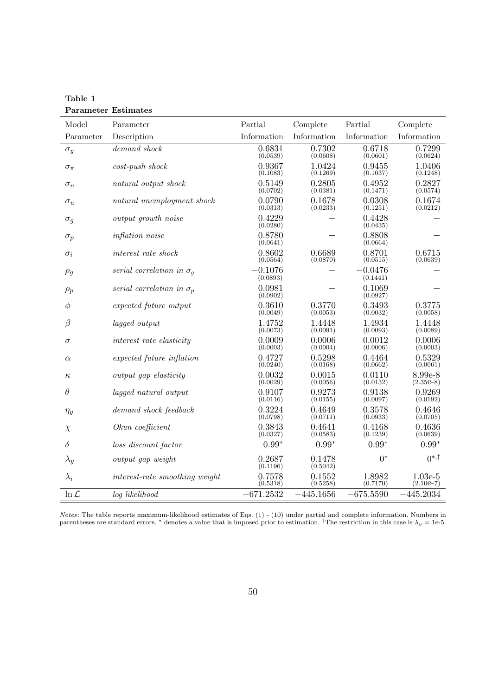| Model             | Parameter                        | Partial               | Complete           | Partial               | Complete                 |
|-------------------|----------------------------------|-----------------------|--------------------|-----------------------|--------------------------|
| Parameter         | Description                      | Information           | Information        | Information           | Information              |
| $\sigma_y$        | $demand \ shock$                 | 0.6831<br>(0.0539)    | 0.7302<br>(0.0608) | 0.6718<br>(0.0601)    | 0.7299<br>(0.0624)       |
| $\sigma_{\pi}$    | $cost$ -push shock               | 0.9367<br>(0.1083)    | 1.0424<br>(0.1269) | 0.9455<br>(0.1037)    | 1.0406<br>(0.1248)       |
| $\sigma_n$        | natural output shock             | 0.5149<br>(0.0702)    | 0.2805<br>(0.0381) | 0.4952<br>(0.1471)    | 0.2827<br>(0.0574)       |
| $\sigma_u$        | natural unemployment shock       | 0.0790<br>(0.0313)    | 0.1678<br>(0.0233) | 0.0308<br>(0.1251)    | 0.1674<br>(0.0212)       |
| $\sigma_g$        | output growth noise              | 0.4229<br>(0.0280)    |                    | 0.4428<br>(0.0435)    |                          |
| $\sigma_p$        | inflation noise                  | 0.8780<br>(0.0641)    |                    | 0.8808<br>(0.0664)    |                          |
| $\sigma_i$        | interest rate shock              | 0.8602<br>(0.0564)    | 0.6689<br>(0.0870) | 0.8701<br>(0.0515)    | 0.6715<br>(0.0639)       |
| $\rho_g$          | serial correlation in $\sigma_q$ | $-0.1076$<br>(0.0893) |                    | $-0.0476$<br>(0.1441) |                          |
| $\rho_p$          | serial correlation in $\sigma_p$ | 0.0981<br>(0.0902)    |                    | 0.1069<br>(0.0927)    |                          |
| $\phi$            | expected future output           | 0.3610<br>(0.0049)    | 0.3770<br>(0.0053) | 0.3493<br>(0.0032)    | 0.3775<br>(0.0058)       |
| $\beta$           | lagged output                    | 1.4752<br>(0.0073)    | 1.4448<br>(0.0091) | 1.4934<br>(0.0093)    | 1.4448<br>(0.0089)       |
| $\sigma$          | interest rate elasticity         | 0.0009<br>(0.0003)    | 0.0006<br>(0.0004) | 0.0012<br>(0.0006)    | 0.0006<br>(0.0003)       |
| $\alpha$          | expected future inflation        | 0.4727<br>(0.0240)    | 0.5298<br>(0.0168) | 0.4464<br>(0.0662)    | 0.5329<br>(0.0061)       |
| $\kappa$          | output gap elasticity            | 0.0032<br>(0.0029)    | 0.0015<br>(0.0056) | 0.0110<br>(0.0132)    | 8.99e-8<br>$(2.35e-8)$   |
| $\theta$          | lagged natural output            | 0.9107<br>(0.0116)    | 0.9273<br>(0.0155) | 0.9138<br>(0.0097)    | 0.9269<br>(0.0192)       |
| $\eta_y$          | demand shock feedback            | 0.3224<br>(0.0798)    | 0.4649<br>(0.0711) | 0.3578<br>(0.0933)    | 0.4646<br>(0.0705)       |
| $\chi$            | Okun coefficient                 | 0.3843<br>(0.0327)    | 0.4641<br>(0.0583) | 0.4168<br>(0.1239)    | 0.4636<br>(0.0639)       |
| $\delta$          | loss discount factor             | $0.99*$               | $0.99*$            | $0.99*$               | $0.99*$                  |
| $\lambda_y$       | output gap weight                | 0.2687<br>(0.1196)    | 0.1478<br>(0.5042) | $0^*$                 | $0^{*,\dagger}$          |
| $\lambda_i$       | interest-rate smoothing weight   | 0.7578<br>(0.5318)    | 0.1552<br>(0.5258) | 1.8982<br>(0.7170)    | $1.03e-5$<br>$(2.10e-7)$ |
| $\ln \mathcal{L}$ | log likelihood                   | $-671.2532$           | $-445.1656$        | $-675.5590$           | $-445.2034$              |

Table 1 Parameter Estimates

Notes: The table reports maximum-likelihood estimates of Eqs. (1) - (10) under partial and complete information. Numbers in parentheses are standard errors. \* denotes a value that is imposed prior to estimation. <sup>†</sup>The restriction in this case is  $\lambda_y = 1$ e-5.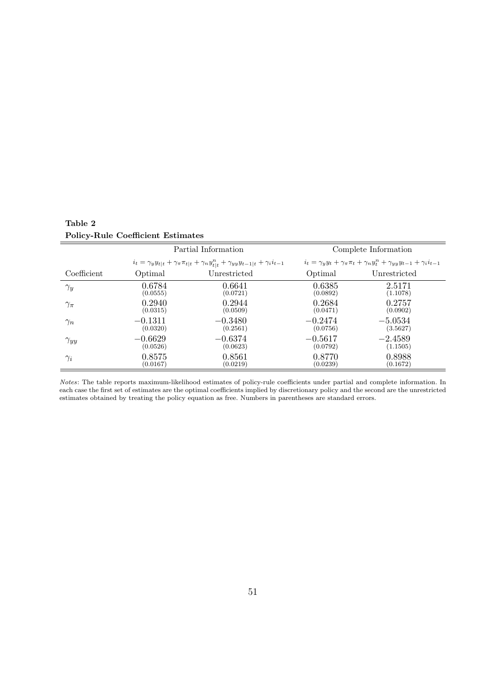|               |                                                                                                                 | Partial Information | Complete Information |                                                                                                                                   |  |  |
|---------------|-----------------------------------------------------------------------------------------------------------------|---------------------|----------------------|-----------------------------------------------------------------------------------------------------------------------------------|--|--|
|               | $i_t = \gamma_y y_{t t} + \gamma_\pi \pi_{t t} + \gamma_n y_{t t}^n + \gamma_{yy} y_{t-1 t} + \gamma_i i_{t-1}$ |                     |                      | $i_t = \gamma_{\mathit{y}} y_t + \gamma_{\pi} \pi_t + \gamma_{\mathit{y}} y_t^n + \gamma_{\mathit{y}} y_{t-1} + \gamma_i i_{t-1}$ |  |  |
| Coefficient   | Optimal                                                                                                         | Unrestricted        | Optimal              | Unrestricted                                                                                                                      |  |  |
| $\gamma_y$    | 0.6784                                                                                                          | 0.6641              | 0.6385               | 2.5171                                                                                                                            |  |  |
|               | (0.0555)                                                                                                        | (0.0721)            | (0.0892)             | (1.1078)                                                                                                                          |  |  |
| $\gamma_\pi$  | 0.2940                                                                                                          | 0.2944              | 0.2684               | 0.2757                                                                                                                            |  |  |
|               | (0.0315)                                                                                                        | (0.0509)            | (0.0471)             | (0.0902)                                                                                                                          |  |  |
| $\gamma_n$    | $-0.1311$                                                                                                       | $-0.3480$           | $-0.2474$            | $-5.0534$                                                                                                                         |  |  |
|               | (0.0320)                                                                                                        | (0.2561)            | (0.0756)             | (3.5627)                                                                                                                          |  |  |
| $\gamma_{yy}$ | $-0.6629$                                                                                                       | $-0.6374$           | $-0.5617$            | $-2.4589$                                                                                                                         |  |  |
|               | (0.0526)                                                                                                        | (0.0623)            | (0.0792)             | (1.1505)                                                                                                                          |  |  |
| $\gamma_i$    | 0.8575                                                                                                          | 0.8561              | 0.8770               | 0.8988                                                                                                                            |  |  |
|               | (0.0167)                                                                                                        | (0.0219)            | (0.0239)             | (0.1672)                                                                                                                          |  |  |

Table 2 Policy-Rule Coefficient Estimates

Notes: The table reports maximum-likelihood estimates of policy-rule coefficients under partial and complete information. In each case the first set of estimates are the optimal coefficients implied by discretionary policy and the second are the unrestricted estimates obtained by treating the policy equation as free. Numbers in parentheses are standard errors.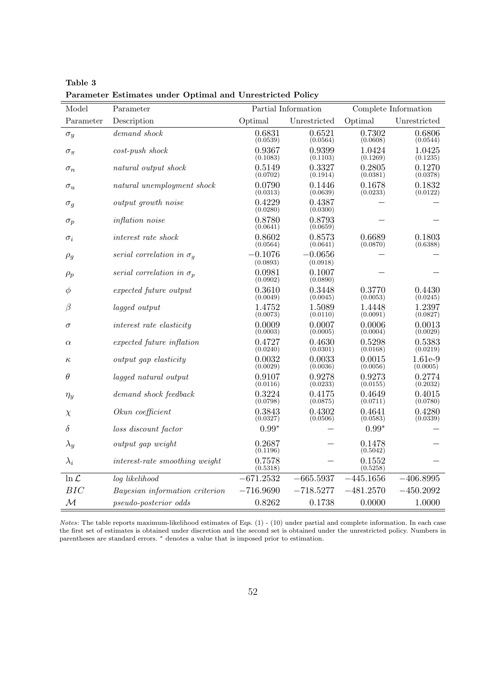| Model             | Parameter                        |                       | Partial Information   | Complete Information     |                     |  |
|-------------------|----------------------------------|-----------------------|-----------------------|--------------------------|---------------------|--|
| Parameter         | Description                      | Optimal               | Unrestricted          | Optimal                  | Unrestricted        |  |
| $\sigma_y$        | $demand \; shock$                | 0.6831<br>(0.0539)    | 0.6521<br>(0.0564)    | 0.7302<br>(0.0608)       | 0.6806<br>(0.0544)  |  |
| $\sigma_{\pi}$    | $cost$ -push shock               | 0.9367<br>(0.1083)    | 0.9399<br>(0.1103)    | 1.0424<br>(0.1269)       | 1.0425<br>(0.1235)  |  |
| $\sigma_n$        | natural output shock             | 0.5149<br>(0.0702)    | 0.3327<br>(0.1914)    | 0.2805<br>(0.0381)       | 0.1270<br>(0.0378)  |  |
| $\sigma_u$        | natural unemployment shock       | 0.0790<br>(0.0313)    | 0.1446<br>(0.0639)    | 0.1678<br>(0.0233)       | 0.1832<br>(0.0122)  |  |
| $\sigma_q$        | output growth noise              | 0.4229<br>(0.0280)    | 0.4387<br>(0.0300)    |                          |                     |  |
| $\sigma_p$        | <i>inflation</i> noise           | 0.8780<br>(0.0641)    | 0.8793<br>(0.0659)    |                          |                     |  |
| $\sigma_i$        | interest rate shock              | 0.8602<br>(0.0564)    | 0.8573<br>(0.0641)    | 0.6689<br>(0.0870)       | 0.1803<br>(0.6388)  |  |
| $\rho_g$          | serial correlation in $\sigma_a$ | $-0.1076$<br>(0.0893) | $-0.0656$<br>(0.0918) |                          |                     |  |
| $\rho_p$          | serial correlation in $\sigma_p$ | 0.0981<br>(0.0902)    | 0.1007<br>(0.0890)    |                          |                     |  |
| Φ                 | expected future output           | 0.3610<br>(0.0049)    | 0.3448<br>(0.0045)    | 0.3770<br>(0.0053)       | 0.4430<br>(0.0245)  |  |
| $\beta$           | lagged output                    | 1.4752<br>(0.0073)    | 1.5089<br>(0.0110)    | 1.4448<br>(0.0091)       | 1.2397<br>(0.0827)  |  |
| $\sigma$          | interest rate elasticity         | 0.0009<br>(0.0003)    | 0.0007<br>(0.0005)    | 0.0006<br>(0.0004)       | 0.0013<br>(0.0029)  |  |
| $\alpha$          | expected future inflation        | 0.4727<br>(0.0240)    | 0.4630<br>(0.0301)    | $\,0.5298\,$<br>(0.0168) | 0.5383<br>(0.0219)  |  |
| $\kappa$          | output gap elasticity            | 0.0032<br>(0.0029)    | 0.0033<br>(0.0036)    | 0.0015<br>(0.0056)       | 1.61e-9<br>(0.0005) |  |
| $\theta$          | lagged natural output            | 0.9107<br>(0.0116)    | 0.9278<br>(0.0233)    | 0.9273<br>(0.0155)       | 0.2774<br>(0.2032)  |  |
| $\eta_y$          | demand shock feedback            | 0.3224<br>(0.0798)    | 0.4175<br>(0.0875)    | 0.4649<br>(0.0711)       | 0.4015<br>(0.0780)  |  |
| $\chi$            | Okun coefficient                 | 0.3843<br>(0.0327)    | 0.4302<br>(0.0506)    | 0.4641<br>(0.0583)       | 0.4280<br>(0.0339)  |  |
| $\delta$          | loss discount factor             | $0.99*$               |                       | $0.99*$                  |                     |  |
| $\lambda_y$       | output gap weight                | 0.2687<br>(0.1196)    |                       | 0.1478<br>(0.5042)       |                     |  |
| $\lambda_i$       | interest-rate smoothing weight   | 0.7578<br>(0.5318)    |                       | 0.1552<br>(0.5258)       |                     |  |
| $\ln \mathcal{L}$ | log likelihood                   | $-671.2532$           | $-665.5937$           | $-445.1656$              | $-406.8995$         |  |
| BIC               | Bayesian information criterion   | $-716.9690$           | $-718.5277$           | $-481.2570$              | $-450.2092$         |  |
| $\mathcal{M}_{0}$ | <i>pseudo-posterior odds</i>     | 0.8262                | 0.1738                | 0.0000                   | 1.0000              |  |

Table 3 Parameter Estimates under Optimal and Unrestricted Policy

Notes: The table reports maximum-likelihood estimates of Eqs. (1) - (10) under partial and complete information. In each case the first set of estimates is obtained under discretion and the second set is obtained under the unrestricted policy. Numbers in parentheses are standard errors. <sup>∗</sup> denotes a value that is imposed prior to estimation.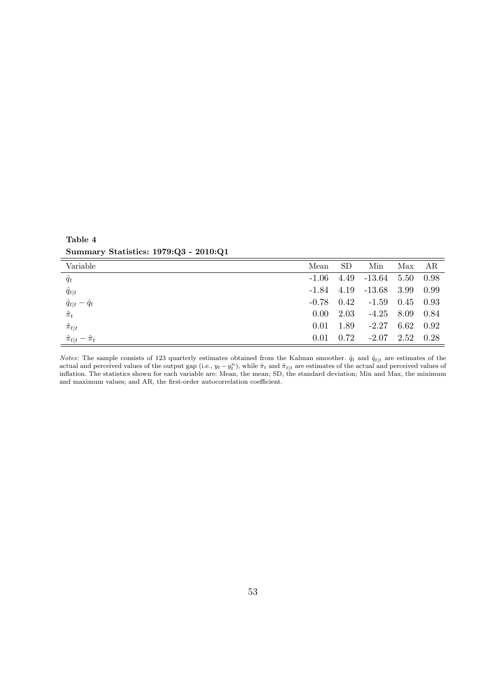Summary Statistics: 1979:Q3 - 2010:Q1

Table 4

| Variable                        | Mean     | SD.  | Min                            | Max  | AR   |
|---------------------------------|----------|------|--------------------------------|------|------|
| $\hat{q}_t$                     | $-1.06$  |      | $4.49$ $-13.64$ $5.50$         |      | 0.98 |
| $\hat{q}_{t t}$                 |          |      | $-1.84$ $4.19$ $-13.68$ $3.99$ |      | 0.99 |
| $\hat{q}_{t t} - \hat{q}_t$     |          |      | $-0.78$ $0.42$ $-1.59$ $0.45$  |      | 0.93 |
| $\hat{\pi}_t$                   | $0.00 -$ | 2.03 | $-4.25$ 8.09                   |      | 0.84 |
| $\hat{\pi}_{t t}$               | 0.01     | 1.89 | $-2.27$                        | 6.62 | 0.92 |
| $\hat{\pi}_{t t} - \hat{\pi}_t$ | 0.01     | 0.72 | $-2.07$                        | 2.52 | 0.28 |

*Notes*: The sample consists of 123 quarterly estimates obtained from the Kalman smoother.  $\hat{q}_t$  and  $\hat{q}_{t|t}$  are estimates of the actual and perceived values of the output gap (i.e.,  $y_t - y_t^n$ ), while  $\hat{\pi}_t$  and  $\hat{\pi}_{t|t}$  are estimates of the actual and perceived values of inflation. The statistics shown for each variable are: Mean, the mean; SD, the standard deviation; Min and Max, the minimum and maximum values; and AR, the first-order autocorrelation coefficient.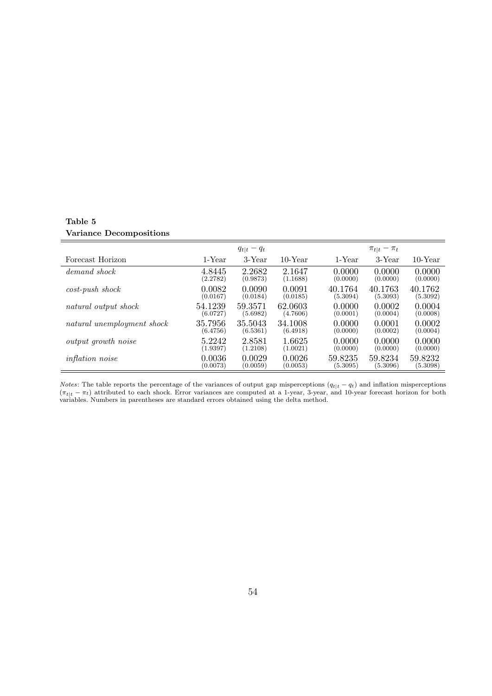|                            |          | $q_{t t}-q_t$ |          |          | $\pi_{t t} - \pi_t$ |          |
|----------------------------|----------|---------------|----------|----------|---------------------|----------|
| Forecast Horizon           | 1-Year   | 3-Year        | 10-Year  | 1-Year   | 3-Year              | 10-Year  |
| demand shock               | 4.8445   | 2.2682        | 2.1647   | 0.0000   | 0.0000              | 0.0000   |
|                            | (2.2782) | (0.9873)      | (1.1688) | (0.0000) | (0.0000)            | (0.0000) |
| $cost$ -push shock         | 0.0082   | 0.0090        | 0.0091   | 40.1764  | 40.1763             | 40.1762  |
|                            | (0.0167) | (0.0184)      | (0.0185) | (5.3094) | (5.3093)            | (5.3092) |
| natural output shock       | 54.1239  | 59.3571       | 62.0603  | 0.0000   | 0.0002              | 0.0004   |
|                            | (6.0727) | (5.6982)      | (4.7606) | (0.0001) | (0.0004)            | (0.0008) |
| natural unemployment shock | 35.7956  | 35.5043       | 34.1008  | 0.0000   | 0.0001              | 0.0002   |
|                            | (6.4756) | (6.5361)      | (6.4918) | (0.0000) | (0.0002)            | (0.0004) |
| output growth noise        | 5.2242   | 2.8581        | 1.6625   | 0.0000   | 0.0000              | 0.0000   |
|                            | (1.9397) | (1.2108)      | (1.0021) | (0.0000) | (0.0000)            | (0.0000) |
| <i>inflation noise</i>     | 0.0036   | 0.0029        | 0.0026   | 59.8235  | 59.8234             | 59.8232  |
|                            | (0.0073) | (0.0059)      | (0.0053) | (5.3095) | (5.3096)            | (5.3098) |

#### Table 5 Variance Decompositions

*Notes*: The table reports the percentage of the variances of output gap misperceptions  $(q_{t|t} - q_t)$  and inflation misperceptions  $(\pi_{t|t} - \pi_t)$  attributed to each shock. Error variances are computed at a 1-year, 3-year, and 10-year forecast horizon for both variables. Numbers in parentheses are standard errors obtained using the delta method.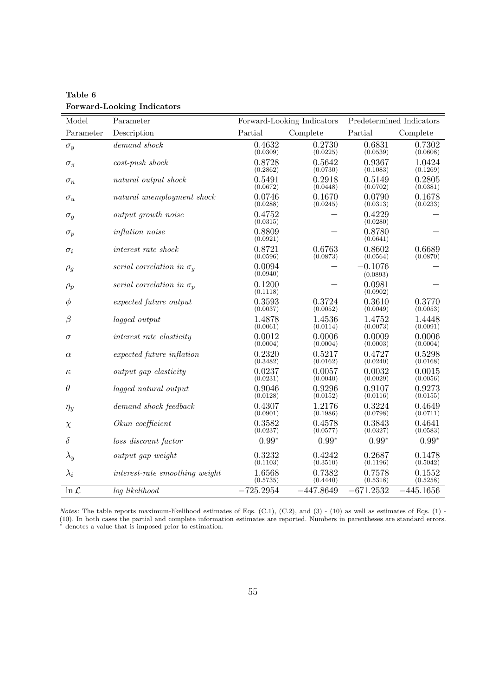| Model             | Parameter                        |                    | Forward-Looking Indicators | Predetermined Indicators |                    |
|-------------------|----------------------------------|--------------------|----------------------------|--------------------------|--------------------|
| Parameter         | Description                      | Partial            | Complete                   | Partial                  | Complete           |
| $\sigma_y$        | $demand \ shock$                 | 0.4632<br>(0.0309) | 0.2730<br>(0.0225)         | 0.6831<br>(0.0539)       | 0.7302<br>(0.0608) |
| $\sigma_{\pi}$    | $cost$ -push shock               | 0.8728<br>(0.2862) | 0.5642<br>(0.0730)         | 0.9367<br>(0.1083)       | 1.0424<br>(0.1269) |
| $\sigma_n$        | natural output shock             | 0.5491<br>(0.0672) | 0.2918<br>(0.0448)         | 0.5149<br>(0.0702)       | 0.2805<br>(0.0381) |
| $\sigma_u$        | natural unemployment shock       | 0.0746<br>(0.0288) | 0.1670<br>(0.0245)         | 0.0790<br>(0.0313)       | 0.1678<br>(0.0233) |
| $\sigma_g$        | output growth noise              | 0.4752<br>(0.0315) |                            | 0.4229<br>(0.0280)       |                    |
| $\sigma_p$        | inflation noise                  | 0.8809<br>(0.0921) |                            | 0.8780<br>(0.0641)       |                    |
| $\sigma_i$        | interest rate shock              | 0.8721<br>(0.0596) | 0.6763<br>(0.0873)         | 0.8602<br>(0.0564)       | 0.6689<br>(0.0870) |
| $\rho_g$          | serial correlation in $\sigma_a$ | 0.0094<br>(0.0940) |                            | -0.1076<br>(0.0893)      |                    |
| $\rho_p$          | serial correlation in $\sigma_p$ | 0.1200<br>(0.1118) |                            | 0.0981<br>(0.0902)       |                    |
| $\phi$            | expected future output           | 0.3593<br>(0.0037) | 0.3724<br>(0.0052)         | 0.3610<br>(0.0049)       | 0.3770<br>(0.0053) |
| β                 | lagged output                    | 1.4878<br>(0.0061) | 1.4536<br>(0.0114)         | 1.4752<br>(0.0073)       | 1.4448<br>(0.0091) |
| $\sigma$          | interest rate elasticity         | 0.0012<br>(0.0004) | 0.0006<br>(0.0004)         | 0.0009<br>(0.0003)       | 0.0006<br>(0.0004) |
| $\alpha$          | expected future inflation        | 0.2320<br>(0.3482) | 0.5217<br>(0.0162)         | 0.4727<br>(0.0240)       | 0.5298<br>(0.0168) |
| $\kappa$          | output gap elasticity            | 0.0237<br>(0.0231) | 0.0057<br>(0.0040)         | 0.0032<br>(0.0029)       | 0.0015<br>(0.0056) |
| $\theta$          | lagged natural output            | 0.9046<br>(0.0128) | 0.9296<br>(0.0152)         | 0.9107<br>(0.0116)       | 0.9273<br>(0.0155) |
| $\eta_y$          | demand shock feedback            | 0.4307<br>(0.0901) | 1.2176<br>(0.1986)         | 0.3224<br>(0.0798)       | 0.4649<br>(0.0711) |
| $\chi$            | Okun coefficient                 | 0.3582<br>(0.0237) | 0.4578<br>(0.0577)         | 0.3843<br>(0.0327)       | 0.4641<br>(0.0583) |
| $\delta$          | loss discount factor             | $0.99*$            | $0.99*$                    | $0.99*$                  | $0.99*$            |
| $\lambda_y$       | output gap weight                | 0.3232<br>(0.1103) | 0.4242<br>(0.3510)         | 0.2687<br>(0.1196)       | 0.1478<br>(0.5042) |
| $\lambda_i$       | interest-rate smoothing weight   | 1.6568<br>(0.5735) | 0.7382<br>(0.4440)         | 0.7578<br>(0.5318)       | 0.1552<br>(0.5258) |
| $\ln \mathcal{L}$ | log likelihood                   | $-725.2954$        | $-447.8649$                | $-671.2532$              | $-445.1656$        |

Table 6 Forward-Looking Indicators

Notes: The table reports maximum-likelihood estimates of Eqs.  $(C.1)$ ,  $(C.2)$ , and  $(3)$  -  $(10)$  as well as estimates of Eqs.  $(1)$  -(10). In both cases the partial and complete information estimates are reported. Numbers in parentheses are standard errors. <sup>∗</sup> denotes a value that is imposed prior to estimation.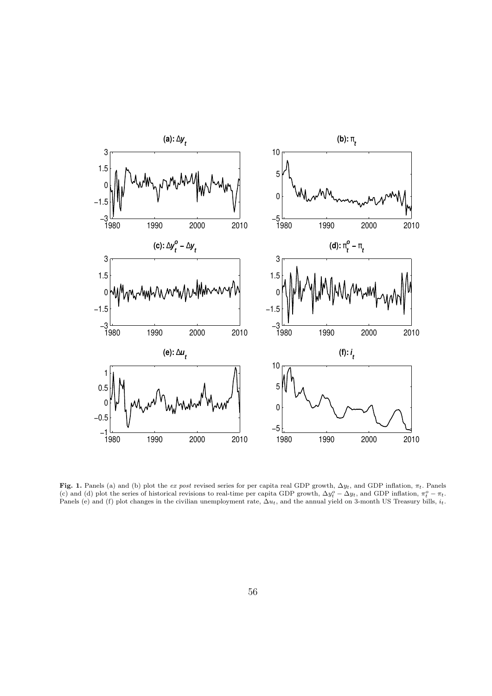

Fig. 1. Panels (a) and (b) plot the ex post revised series for per capita real GDP growth,  $\Delta y_t$ , and GDP inflation,  $\pi_t$ . Panels (c) and (d) plot the series of historical revisions to real-time per capita GDP growth,  $\Delta y_t^o - \Delta y_t$ , and GDP inflation,  $\pi_t^o - \pi_t$ . Panels (e) and (f) plot changes in the civilian unemployment rate,  $\Delta u_t$ , and the annual yield on 3-month US Treasury bills,  $i_t$ .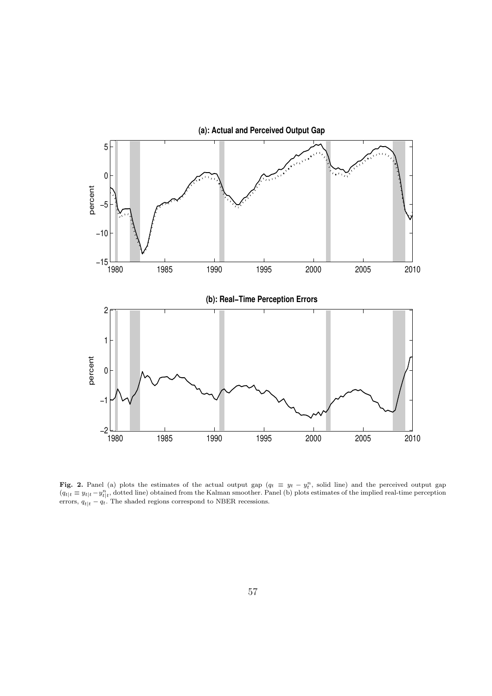

Fig. 2. Panel (a) plots the estimates of the actual output gap  $(q_t \equiv y_t - y_t^n)$ , solid line) and the perceived output gap  $(q_{t}|t) \equiv y_{t}|t} - y_{t}|t}^{n}$ , dotted line) obtained from the Kalman smoother. Panel (b) plots estimates of the implied real-time perception errors,  $q_{t|t} - q_t$ . The shaded regions correspond to NBER recessions.